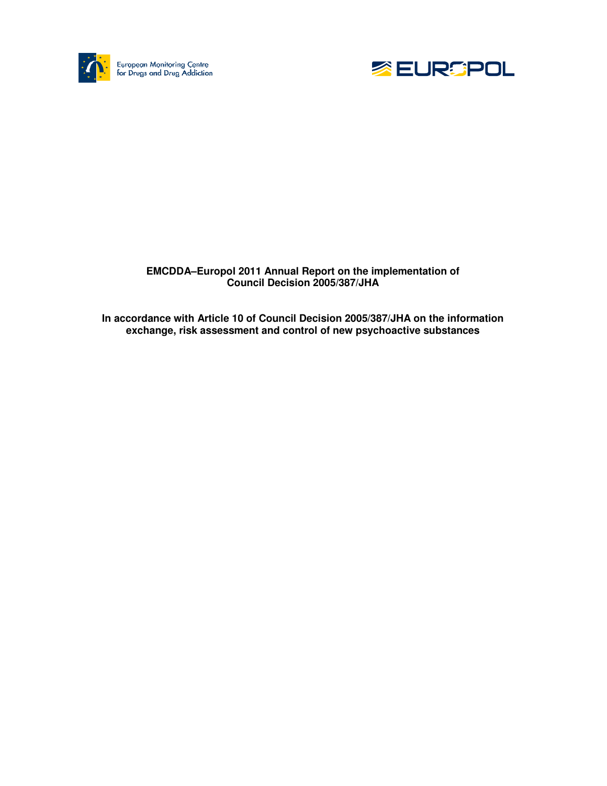



### **EMCDDA–Europol 2011 Annual Report on the implementation of Council Decision 2005/387/JHA**

**In accordance with Article 10 of Council Decision 2005/387/JHA on the information exchange, risk assessment and control of new psychoactive substances**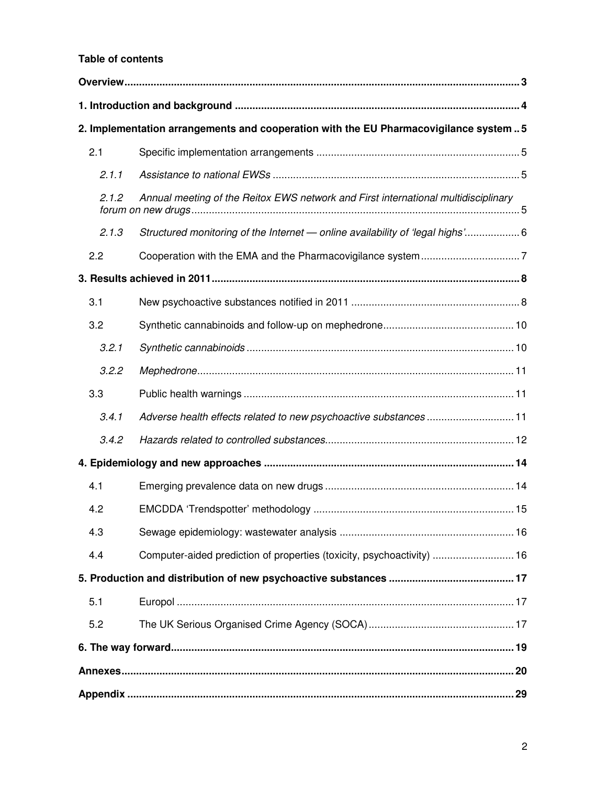### **Table of contents**

|       | 2. Implementation arrangements and cooperation with the EU Pharmacovigilance system  5 |  |
|-------|----------------------------------------------------------------------------------------|--|
| 2.1   |                                                                                        |  |
| 2.1.1 |                                                                                        |  |
| 2.1.2 | Annual meeting of the Reitox EWS network and First international multidisciplinary     |  |
| 2.1.3 | Structured monitoring of the Internet - online availability of 'legal highs' 6         |  |
| 2.2   |                                                                                        |  |
|       |                                                                                        |  |
| 3.1   |                                                                                        |  |
| 3.2   |                                                                                        |  |
| 3.2.1 |                                                                                        |  |
| 3.2.2 |                                                                                        |  |
| 3.3   |                                                                                        |  |
| 3.4.1 | Adverse health effects related to new psychoactive substances  11                      |  |
| 3.4.2 |                                                                                        |  |
|       |                                                                                        |  |
| 4.1   |                                                                                        |  |
| 4.2   |                                                                                        |  |
| 4.3   |                                                                                        |  |
| 4.4   | Computer-aided prediction of properties (toxicity, psychoactivity)  16                 |  |
|       |                                                                                        |  |
| 5.1   |                                                                                        |  |
| 5.2   |                                                                                        |  |
|       |                                                                                        |  |
|       |                                                                                        |  |
|       |                                                                                        |  |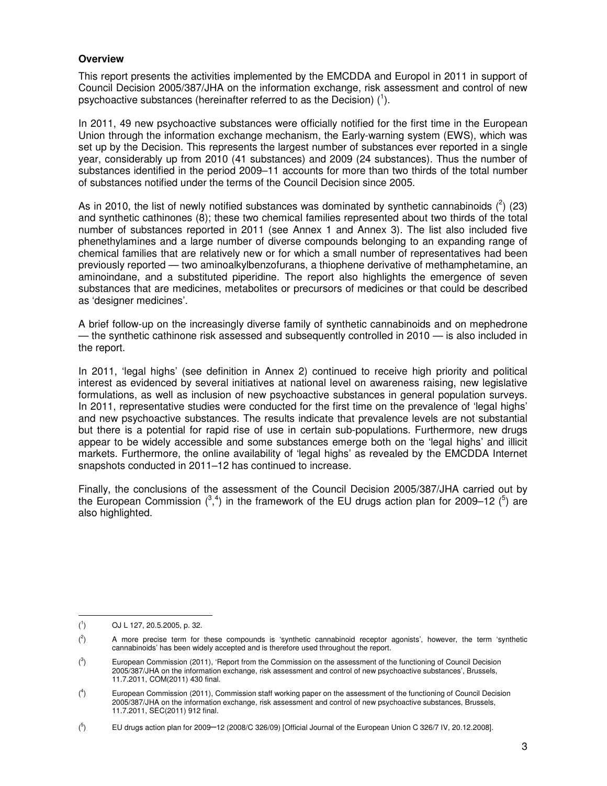#### **Overview**

This report presents the activities implemented by the EMCDDA and Europol in 2011 in support of Council Decision 2005/387/JHA on the information exchange, risk assessment and control of new psychoactive substances (hereinafter referred to as the Decision)  $(^1)$ .

In 2011, 49 new psychoactive substances were officially notified for the first time in the European Union through the information exchange mechanism, the Early-warning system (EWS), which was set up by the Decision. This represents the largest number of substances ever reported in a single year, considerably up from 2010 (41 substances) and 2009 (24 substances). Thus the number of substances identified in the period 2009–11 accounts for more than two thirds of the total number of substances notified under the terms of the Council Decision since 2005.

As in 2010, the list of newly notified substances was dominated by synthetic cannabinoids  $(^2)$  (23) and synthetic cathinones (8); these two chemical families represented about two thirds of the total number of substances reported in 2011 (see Annex 1 and Annex 3). The list also included five phenethylamines and a large number of diverse compounds belonging to an expanding range of chemical families that are relatively new or for which a small number of representatives had been previously reported — two aminoalkylbenzofurans, a thiophene derivative of methamphetamine, an aminoindane, and a substituted piperidine. The report also highlights the emergence of seven substances that are medicines, metabolites or precursors of medicines or that could be described as 'designer medicines'.

A brief follow-up on the increasingly diverse family of synthetic cannabinoids and on mephedrone — the synthetic cathinone risk assessed and subsequently controlled in 2010 — is also included in the report.

In 2011, 'legal highs' (see definition in Annex 2) continued to receive high priority and political interest as evidenced by several initiatives at national level on awareness raising, new legislative formulations, as well as inclusion of new psychoactive substances in general population surveys. In 2011, representative studies were conducted for the first time on the prevalence of 'legal highs' and new psychoactive substances. The results indicate that prevalence levels are not substantial but there is a potential for rapid rise of use in certain sub-populations. Furthermore, new drugs appear to be widely accessible and some substances emerge both on the 'legal highs' and illicit markets. Furthermore, the online availability of 'legal highs' as revealed by the EMCDDA Internet snapshots conducted in 2011–12 has continued to increase.

Finally, the conclusions of the assessment of the Council Decision 2005/387/JHA carried out by the European Commission  $(^3,4)$  in the framework of the EU drugs action plan for 2009–12  $(^5)$  are also highlighted.

 $($ <sup>1</sup> ) OJ L 127, 20.5.2005, p. 32.

 $($ <sup>2</sup> ) A more precise term for these compounds is 'synthetic cannabinoid receptor agonists', however, the term 'synthetic cannabinoids' has been widely accepted and is therefore used throughout the report.

 $\int_0^3$ ) European Commission (2011), 'Report from the Commission on the assessment of the functioning of Council Decision 2005/387/JHA on the information exchange, risk assessment and control of new psychoactive substances', Brussels, 11.7.2011, COM(2011) 430 final.

 $($ <sup>4</sup> ) European Commission (2011), Commission staff working paper on the assessment of the functioning of Council Decision 2005/387/JHA on the information exchange, risk assessment and control of new psychoactive substances, Brussels, 11.7.2011, SEC(2011) 912 final.

 $(5$ ) EU drugs action plan for 2009–12 (2008/C 326/09) [Official Journal of the European Union C 326/7 IV, 20.12.2008].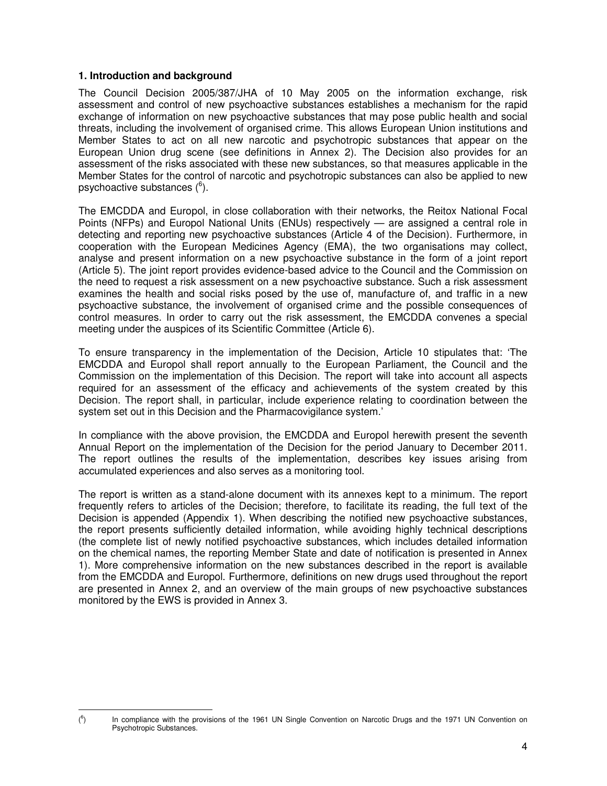#### **1. Introduction and background**

l

The Council Decision 2005/387/JHA of 10 May 2005 on the information exchange, risk assessment and control of new psychoactive substances establishes a mechanism for the rapid exchange of information on new psychoactive substances that may pose public health and social threats, including the involvement of organised crime. This allows European Union institutions and Member States to act on all new narcotic and psychotropic substances that appear on the European Union drug scene (see definitions in Annex 2). The Decision also provides for an assessment of the risks associated with these new substances, so that measures applicable in the Member States for the control of narcotic and psychotropic substances can also be applied to new psychoactive substances (<sup>6</sup>).

The EMCDDA and Europol, in close collaboration with their networks, the Reitox National Focal Points (NFPs) and Europol National Units (ENUs) respectively — are assigned a central role in detecting and reporting new psychoactive substances (Article 4 of the Decision). Furthermore, in cooperation with the European Medicines Agency (EMA), the two organisations may collect, analyse and present information on a new psychoactive substance in the form of a joint report (Article 5). The joint report provides evidence-based advice to the Council and the Commission on the need to request a risk assessment on a new psychoactive substance. Such a risk assessment examines the health and social risks posed by the use of, manufacture of, and traffic in a new psychoactive substance, the involvement of organised crime and the possible consequences of control measures. In order to carry out the risk assessment, the EMCDDA convenes a special meeting under the auspices of its Scientific Committee (Article 6).

To ensure transparency in the implementation of the Decision, Article 10 stipulates that: 'The EMCDDA and Europol shall report annually to the European Parliament, the Council and the Commission on the implementation of this Decision. The report will take into account all aspects required for an assessment of the efficacy and achievements of the system created by this Decision. The report shall, in particular, include experience relating to coordination between the system set out in this Decision and the Pharmacovigilance system.'

In compliance with the above provision, the EMCDDA and Europol herewith present the seventh Annual Report on the implementation of the Decision for the period January to December 2011. The report outlines the results of the implementation, describes key issues arising from accumulated experiences and also serves as a monitoring tool.

The report is written as a stand-alone document with its annexes kept to a minimum. The report frequently refers to articles of the Decision; therefore, to facilitate its reading, the full text of the Decision is appended (Appendix 1). When describing the notified new psychoactive substances, the report presents sufficiently detailed information, while avoiding highly technical descriptions (the complete list of newly notified psychoactive substances, which includes detailed information on the chemical names, the reporting Member State and date of notification is presented in Annex 1). More comprehensive information on the new substances described in the report is available from the EMCDDA and Europol. Furthermore, definitions on new drugs used throughout the report are presented in Annex 2, and an overview of the main groups of new psychoactive substances monitored by the EWS is provided in Annex 3.

 $($  $^6$ ) In compliance with the provisions of the 1961 UN Single Convention on Narcotic Drugs and the 1971 UN Convention on Psychotropic Substances.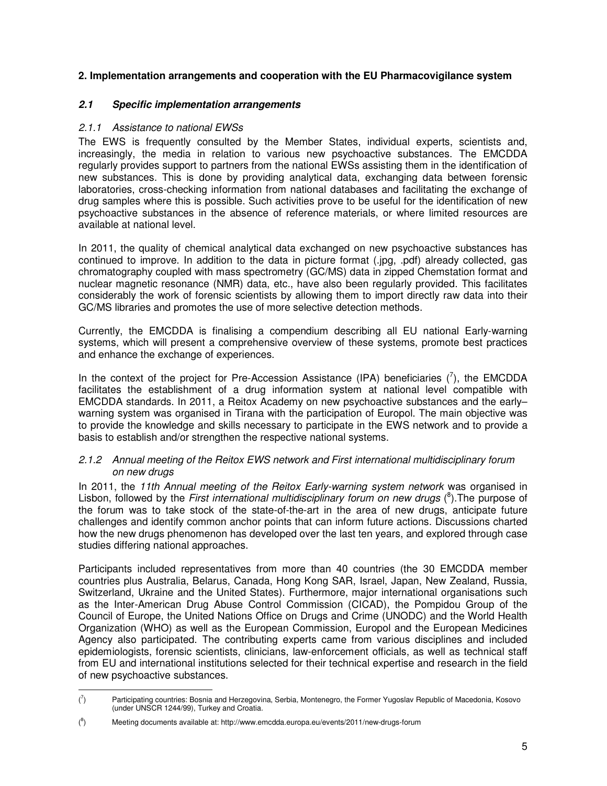### **2. Implementation arrangements and cooperation with the EU Pharmacovigilance system**

### **2.1 Specific implementation arrangements**

### 2.1.1 Assistance to national EWSs

The EWS is frequently consulted by the Member States, individual experts, scientists and, increasingly, the media in relation to various new psychoactive substances. The EMCDDA regularly provides support to partners from the national EWSs assisting them in the identification of new substances. This is done by providing analytical data, exchanging data between forensic laboratories, cross-checking information from national databases and facilitating the exchange of drug samples where this is possible. Such activities prove to be useful for the identification of new psychoactive substances in the absence of reference materials, or where limited resources are available at national level.

In 2011, the quality of chemical analytical data exchanged on new psychoactive substances has continued to improve. In addition to the data in picture format (.jpg, .pdf) already collected, gas chromatography coupled with mass spectrometry (GC/MS) data in zipped Chemstation format and nuclear magnetic resonance (NMR) data, etc., have also been regularly provided. This facilitates considerably the work of forensic scientists by allowing them to import directly raw data into their GC/MS libraries and promotes the use of more selective detection methods.

Currently, the EMCDDA is finalising a compendium describing all EU national Early-warning systems, which will present a comprehensive overview of these systems, promote best practices and enhance the exchange of experiences.

In the context of the project for Pre-Accession Assistance (IPA) beneficiaries  $(\bar{'}),$  the EMCDDA facilitates the establishment of a drug information system at national level compatible with EMCDDA standards. In 2011, a Reitox Academy on new psychoactive substances and the early– warning system was organised in Tirana with the participation of Europol. The main objective was to provide the knowledge and skills necessary to participate in the EWS network and to provide a basis to establish and/or strengthen the respective national systems.

## 2.1.2 Annual meeting of the Reitox EWS network and First international multidisciplinary forum on new drugs

In 2011, the 11th Annual meeting of the Reitox Early-warning system network was organised in Lisbon, followed by the First international multidisciplinary forum on new drugs  $(^{8})$ . The purpose of the forum was to take stock of the state-of-the-art in the area of new drugs, anticipate future challenges and identify common anchor points that can inform future actions. Discussions charted how the new drugs phenomenon has developed over the last ten years, and explored through case studies differing national approaches.

Participants included representatives from more than 40 countries (the 30 EMCDDA member countries plus Australia, Belarus, Canada, Hong Kong SAR, Israel, Japan, New Zealand, Russia, Switzerland, Ukraine and the United States). Furthermore, major international organisations such as the Inter-American Drug Abuse Control Commission (CICAD), the Pompidou Group of the Council of Europe, the United Nations Office on Drugs and Crime (UNODC) and the World Health Organization (WHO) as well as the European Commission, Europol and the European Medicines Agency also participated. The contributing experts came from various disciplines and included epidemiologists, forensic scientists, clinicians, law-enforcement officials, as well as technical staff from EU and international institutions selected for their technical expertise and research in the field of new psychoactive substances.

 $\mathcal{C}$ ) Participating countries: Bosnia and Herzegovina, Serbia, Montenegro, the Former Yugoslav Republic of Macedonia, Kosovo (under UNSCR 1244/99), Turkey and Croatia.

 $(8)$ ) Meeting documents available at: http://www.emcdda.europa.eu/events/2011/new-drugs-forum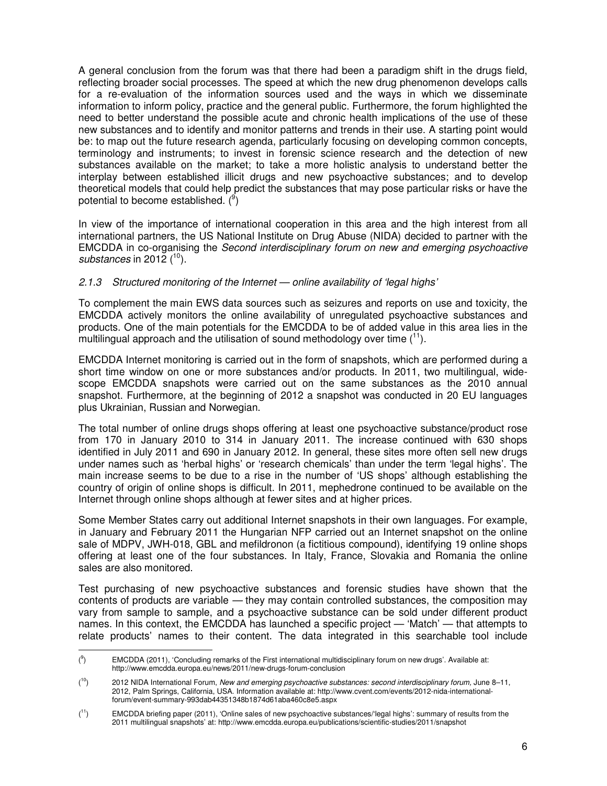A general conclusion from the forum was that there had been a paradigm shift in the drugs field, reflecting broader social processes. The speed at which the new drug phenomenon develops calls for a re-evaluation of the information sources used and the ways in which we disseminate information to inform policy, practice and the general public. Furthermore, the forum highlighted the need to better understand the possible acute and chronic health implications of the use of these new substances and to identify and monitor patterns and trends in their use. A starting point would be: to map out the future research agenda, particularly focusing on developing common concepts, terminology and instruments; to invest in forensic science research and the detection of new substances available on the market; to take a more holistic analysis to understand better the interplay between established illicit drugs and new psychoactive substances; and to develop theoretical models that could help predict the substances that may pose particular risks or have the potential to become established.  $(9)$ 

In view of the importance of international cooperation in this area and the high interest from all international partners, the US National Institute on Drug Abuse (NIDA) decided to partner with the EMCDDA in co-organising the Second interdisciplinary forum on new and emerging psychoactive substances in 2012  $(10)$ .

#### 2.1.3 Structured monitoring of the Internet — online availability of 'legal highs'

To complement the main EWS data sources such as seizures and reports on use and toxicity, the EMCDDA actively monitors the online availability of unregulated psychoactive substances and products. One of the main potentials for the EMCDDA to be of added value in this area lies in the multilingual approach and the utilisation of sound methodology over time  $(1)$ .

EMCDDA Internet monitoring is carried out in the form of snapshots, which are performed during a short time window on one or more substances and/or products. In 2011, two multilingual, widescope EMCDDA snapshots were carried out on the same substances as the 2010 annual snapshot. Furthermore, at the beginning of 2012 a snapshot was conducted in 20 EU languages plus Ukrainian, Russian and Norwegian.

The total number of online drugs shops offering at least one psychoactive substance/product rose from 170 in January 2010 to 314 in January 2011. The increase continued with 630 shops identified in July 2011 and 690 in January 2012. In general, these sites more often sell new drugs under names such as 'herbal highs' or 'research chemicals' than under the term 'legal highs'. The main increase seems to be due to a rise in the number of 'US shops' although establishing the country of origin of online shops is difficult. In 2011, mephedrone continued to be available on the Internet through online shops although at fewer sites and at higher prices.

Some Member States carry out additional Internet snapshots in their own languages. For example, in January and February 2011 the Hungarian NFP carried out an Internet snapshot on the online sale of MDPV, JWH-018, GBL and mefildronon (a fictitious compound), identifying 19 online shops offering at least one of the four substances. In Italy, France, Slovakia and Romania the online sales are also monitored.

Test purchasing of new psychoactive substances and forensic studies have shown that the contents of products are variable — they may contain controlled substances, the composition may vary from sample to sample, and a psychoactive substance can be sold under different product names. In this context, the EMCDDA has launched a specific project — 'Match' — that attempts to relate products' names to their content. The data integrated in this searchable tool include

<sup>(</sup> 9 ) EMCDDA (2011), 'Concluding remarks of the First international multidisciplinary forum on new drugs'. Available at: http://www.emcdda.europa.eu/news/2011/new-drugs-forum-conclusion

 $(10)$ <sup>10</sup>) 2012 NIDA International Forum, New and emerging psychoactive substances: second interdisciplinary forum, June 8–11, 2012, Palm Springs, California, USA. Information available at: http://www.cvent.com/events/2012-nida-internationalforum/event-summary-993dab44351348b1874d61aba460c8e5.aspx

 $(11)$ <sup>11</sup>) EMCDDA briefing paper (2011), 'Online sales of new psychoactive substances/'legal highs': summary of results from the 2011 multilingual snapshots' at: http://www.emcdda.europa.eu/publications/scientific-studies/2011/snapshot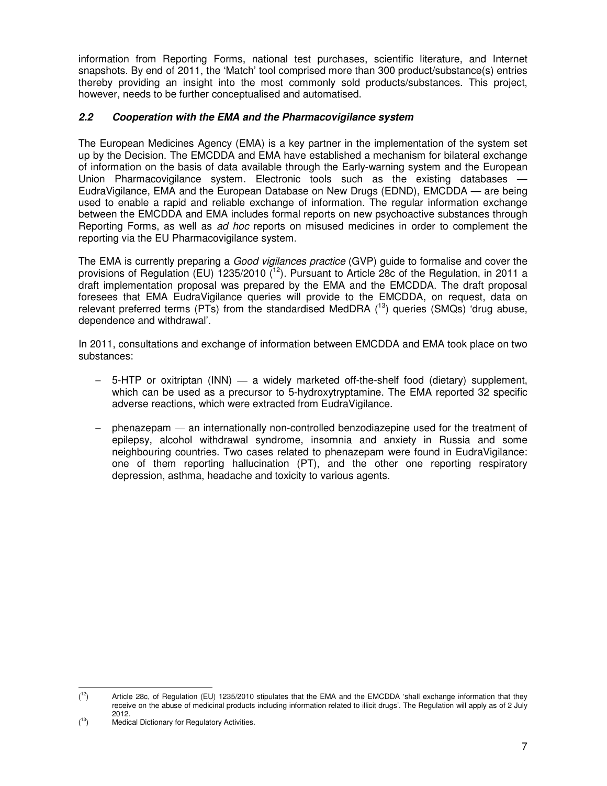information from Reporting Forms, national test purchases, scientific literature, and Internet snapshots. By end of 2011, the 'Match' tool comprised more than 300 product/substance(s) entries thereby providing an insight into the most commonly sold products/substances. This project, however, needs to be further conceptualised and automatised.

## **2.2 Cooperation with the EMA and the Pharmacovigilance system**

The European Medicines Agency (EMA) is a key partner in the implementation of the system set up by the Decision. The EMCDDA and EMA have established a mechanism for bilateral exchange of information on the basis of data available through the Early-warning system and the European Union Pharmacovigilance system. Electronic tools such as the existing databases — EudraVigilance, EMA and the European Database on New Drugs (EDND), EMCDDA — are being used to enable a rapid and reliable exchange of information. The regular information exchange between the EMCDDA and EMA includes formal reports on new psychoactive substances through Reporting Forms, as well as ad hoc reports on misused medicines in order to complement the reporting via the EU Pharmacovigilance system.

The EMA is currently preparing a *Good vigilances practice* (GVP) guide to formalise and cover the provisions of Regulation (EU) 1235/2010  $(12)$ . Pursuant to Article 28c of the Regulation, in 2011 a draft implementation proposal was prepared by the EMA and the EMCDDA. The draft proposal foresees that EMA EudraVigilance queries will provide to the EMCDDA, on request, data on relevant preferred terms (PTs) from the standardised MedDRA  $(^{13})$  queries (SMQs) 'drug abuse, dependence and withdrawal'.

In 2011, consultations and exchange of information between EMCDDA and EMA took place on two substances:

- − 5-HTP or oxitriptan (INN) a widely marketed off-the-shelf food (dietary) supplement, which can be used as a precursor to 5-hydroxytryptamine. The EMA reported 32 specific adverse reactions, which were extracted from EudraVigilance.
- phenazepam an internationally non-controlled benzodiazepine used for the treatment of epilepsy, alcohol withdrawal syndrome, insomnia and anxiety in Russia and some neighbouring countries. Two cases related to phenazepam were found in EudraVigilance: one of them reporting hallucination (PT), and the other one reporting respiratory depression, asthma, headache and toxicity to various agents.

 $(1^2)$ Article 28c, of Regulation (EU) 1235/2010 stipulates that the EMA and the EMCDDA 'shall exchange information that they receive on the abuse of medicinal products including information related to illicit drugs'. The Regulation will apply as of 2 July 2012.

 $(13)$ Medical Dictionary for Regulatory Activities.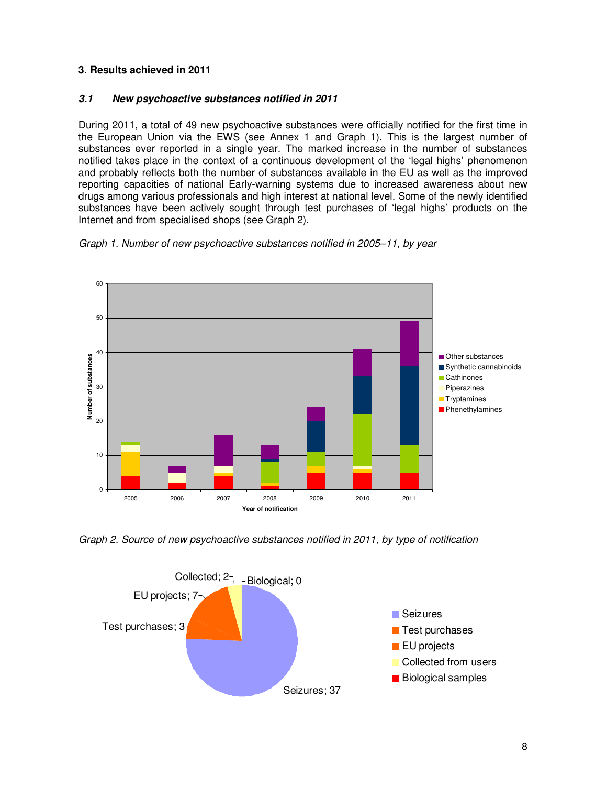## **3. Results achieved in 2011**

## **3.1 New psychoactive substances notified in 2011**

During 2011, a total of 49 new psychoactive substances were officially notified for the first time in the European Union via the EWS (see Annex 1 and Graph 1). This is the largest number of substances ever reported in a single year. The marked increase in the number of substances notified takes place in the context of a continuous development of the 'legal highs' phenomenon and probably reflects both the number of substances available in the EU as well as the improved reporting capacities of national Early-warning systems due to increased awareness about new drugs among various professionals and high interest at national level. Some of the newly identified substances have been actively sought through test purchases of 'legal highs' products on the Internet and from specialised shops (see Graph 2).





Graph 2. Source of new psychoactive substances notified in 2011, by type of notification

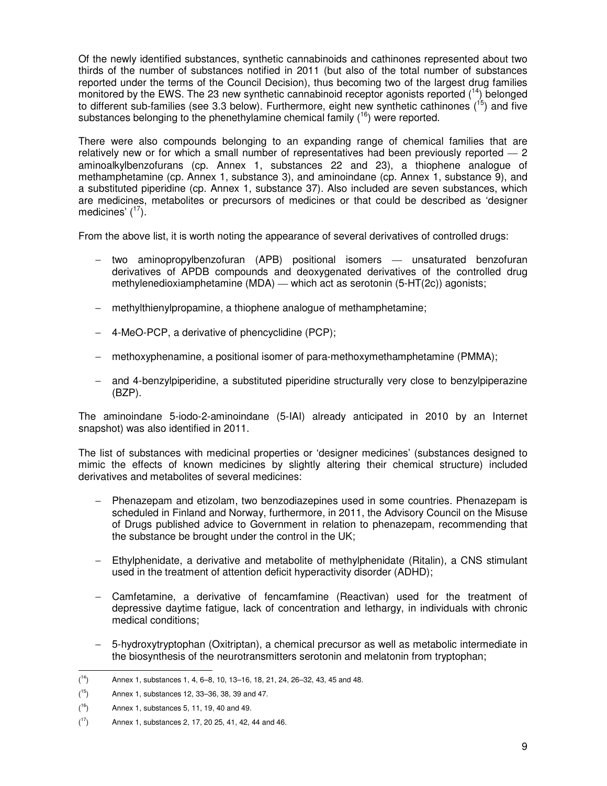Of the newly identified substances, synthetic cannabinoids and cathinones represented about two thirds of the number of substances notified in 2011 (but also of the total number of substances reported under the terms of the Council Decision), thus becoming two of the largest drug families monitored by the EWS. The 23 new synthetic cannabinoid receptor agonists reported (<sup>14</sup>) belonged to different sub-families (see 3.3 below). Furthermore, eight new synthetic cathinones  $(^{15})$  and five substances belonging to the phenethylamine chemical family  $(16)$  were reported.

There were also compounds belonging to an expanding range of chemical families that are relatively new or for which a small number of representatives had been previously reported — 2 aminoalkylbenzofurans (cp. Annex 1, substances 22 and 23), a thiophene analogue of methamphetamine (cp. Annex 1, substance 3), and aminoindane (cp. Annex 1, substance 9), and a substituted piperidine (cp. Annex 1, substance 37). Also included are seven substances, which are medicines, metabolites or precursors of medicines or that could be described as 'designer medicines'  $(^{17})$ .

From the above list, it is worth noting the appearance of several derivatives of controlled drugs:

- − two aminopropylbenzofuran (APB) positional isomers unsaturated benzofuran derivatives of APDB compounds and deoxygenated derivatives of the controlled drug methylenedioxiamphetamine (MDA) — which act as serotonin (5-HT(2c)) agonists;
- − methylthienylpropamine, a thiophene analogue of methamphetamine;
- − 4-MeO-PCP, a derivative of phencyclidine (PCP);
- − methoxyphenamine, a positional isomer of para-methoxymethamphetamine (PMMA);
- − and 4-benzylpiperidine, a substituted piperidine structurally very close to benzylpiperazine (BZP).

The aminoindane 5-iodo-2-aminoindane (5-IAI) already anticipated in 2010 by an Internet snapshot) was also identified in 2011.

The list of substances with medicinal properties or 'designer medicines' (substances designed to mimic the effects of known medicines by slightly altering their chemical structure) included derivatives and metabolites of several medicines:

- − Phenazepam and etizolam, two benzodiazepines used in some countries. Phenazepam is scheduled in Finland and Norway, furthermore, in 2011, the Advisory Council on the Misuse of Drugs published advice to Government in relation to phenazepam, recommending that the substance be brought under the control in the UK;
- − Ethylphenidate, a derivative and metabolite of methylphenidate (Ritalin), a CNS stimulant used in the treatment of attention deficit hyperactivity disorder (ADHD);
- − Camfetamine, a derivative of fencamfamine (Reactivan) used for the treatment of depressive daytime fatigue, lack of concentration and lethargy, in individuals with chronic medical conditions;
- 5-hydroxytryptophan (Oxitriptan), a chemical precursor as well as metabolic intermediate in the biosynthesis of the neurotransmitters serotonin and melatonin from tryptophan;

 $(14)$ Annex 1, substances 1, 4, 6–8, 10, 13–16, 18, 21, 24, 26–32, 43, 45 and 48.

 $(15)$ Annex 1, substances 12, 33-36, 38, 39 and 47.

 $(16)$ Annex 1, substances 5, 11, 19, 40 and 49.

 $(17)$ Annex 1, substances 2, 17, 20 25, 41, 42, 44 and 46.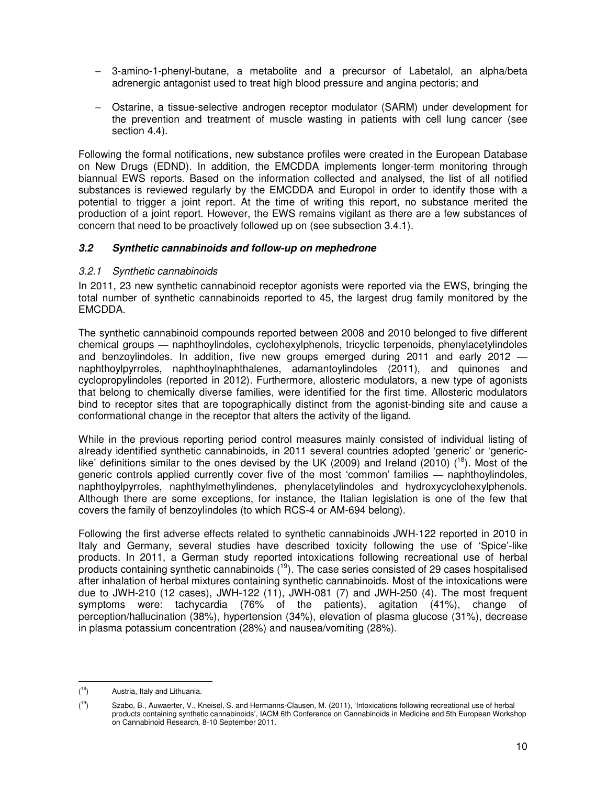- − 3-amino-1-phenyl-butane, a metabolite and a precursor of Labetalol, an alpha/beta adrenergic antagonist used to treat high blood pressure and angina pectoris; and
- − Ostarine, a tissue-selective androgen receptor modulator (SARM) under development for the prevention and treatment of muscle wasting in patients with cell lung cancer (see section 4.4).

Following the formal notifications, new substance profiles were created in the European Database on New Drugs (EDND). In addition, the EMCDDA implements longer-term monitoring through biannual EWS reports. Based on the information collected and analysed, the list of all notified substances is reviewed regularly by the EMCDDA and Europol in order to identify those with a potential to trigger a joint report. At the time of writing this report, no substance merited the production of a joint report. However, the EWS remains vigilant as there are a few substances of concern that need to be proactively followed up on (see subsection 3.4.1).

## **3.2 Synthetic cannabinoids and follow-up on mephedrone**

#### 3.2.1 Synthetic cannabinoids

In 2011, 23 new synthetic cannabinoid receptor agonists were reported via the EWS, bringing the total number of synthetic cannabinoids reported to 45, the largest drug family monitored by the EMCDDA.

The synthetic cannabinoid compounds reported between 2008 and 2010 belonged to five different chemical groups — naphthoylindoles, cyclohexylphenols, tricyclic terpenoids, phenylacetylindoles and benzoylindoles. In addition, five new groups emerged during 2011 and early 2012 naphthoylpyrroles, naphthoylnaphthalenes, adamantoylindoles (2011), and quinones and cyclopropylindoles (reported in 2012). Furthermore, allosteric modulators, a new type of agonists that belong to chemically diverse families, were identified for the first time. Allosteric modulators bind to receptor sites that are topographically distinct from the agonist-binding site and cause a conformational change in the receptor that alters the activity of the ligand.

While in the previous reporting period control measures mainly consisted of individual listing of already identified synthetic cannabinoids, in 2011 several countries adopted 'generic' or 'genericlike' definitions similar to the ones devised by the UK (2009) and Ireland (2010)  $(^{18})$ . Most of the generic controls applied currently cover five of the most 'common' families — naphthoylindoles, naphthoylpyrroles, naphthylmethylindenes, phenylacetylindoles and hydroxycyclohexylphenols. Although there are some exceptions, for instance, the Italian legislation is one of the few that covers the family of benzoylindoles (to which RCS-4 or AM-694 belong).

Following the first adverse effects related to synthetic cannabinoids JWH-122 reported in 2010 in Italy and Germany, several studies have described toxicity following the use of 'Spice'-like products. In 2011, a German study reported intoxications following recreational use of herbal products containing synthetic cannabinoids  $(19)$ . The case series consisted of 29 cases hospitalised after inhalation of herbal mixtures containing synthetic cannabinoids. Most of the intoxications were due to JWH-210 (12 cases), JWH-122 (11), JWH-081 (7) and JWH-250 (4). The most frequent symptoms were: tachycardia (76% of the patients), agitation (41%), change of perception/hallucination (38%), hypertension (34%), elevation of plasma glucose (31%), decrease in plasma potassium concentration (28%) and nausea/vomiting (28%).

 $(18)$ Austria, Italy and Lithuania.

 $(19)$ <sup>19</sup>) Szabo, B., Auwaerter, V., Kneisel, S. and Hermanns-Clausen, M. (2011), 'Intoxications following recreational use of herbal products containing synthetic cannabinoids', IACM 6th Conference on Cannabinoids in Medicine and 5th European Workshop on Cannabinoid Research, 8-10 September 2011.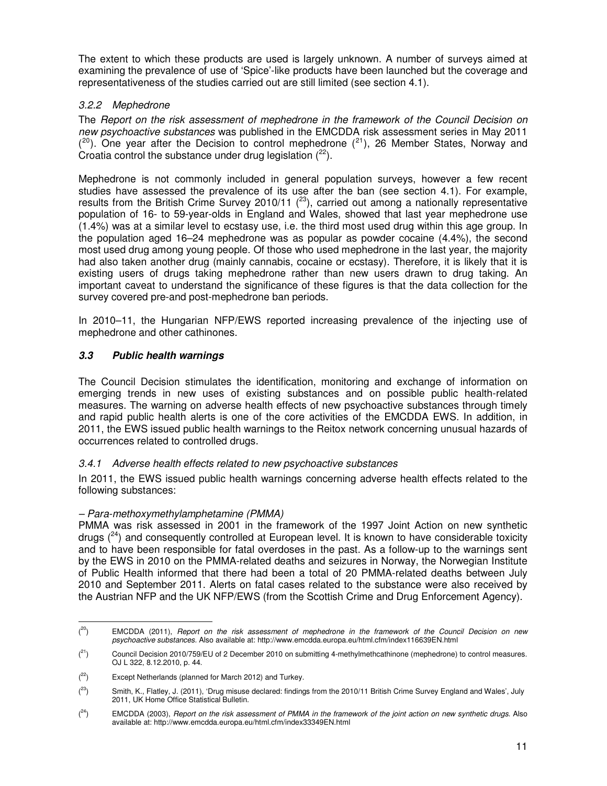The extent to which these products are used is largely unknown. A number of surveys aimed at examining the prevalence of use of 'Spice'-like products have been launched but the coverage and representativeness of the studies carried out are still limited (see section 4.1).

## 3.2.2 Mephedrone

The Report on the risk assessment of mephedrone in the framework of the Council Decision on new psychoactive substances was published in the EMCDDA risk assessment series in May 2011  $(2^{\circ})$ . One year after the Decision to control mephedrone  $(2^{\circ})$ , 26 Member States, Norway and Croatia control the substance under drug legislation  $(^{22})$ .

Mephedrone is not commonly included in general population surveys, however a few recent studies have assessed the prevalence of its use after the ban (see section 4.1). For example, results from the British Crime Survey 2010/11  $(^{23})$ , carried out among a nationally representative population of 16- to 59-year-olds in England and Wales, showed that last year mephedrone use (1.4%) was at a similar level to ecstasy use, i.e. the third most used drug within this age group. In the population aged 16–24 mephedrone was as popular as powder cocaine (4.4%), the second most used drug among young people. Of those who used mephedrone in the last year, the majority had also taken another drug (mainly cannabis, cocaine or ecstasy). Therefore, it is likely that it is existing users of drugs taking mephedrone rather than new users drawn to drug taking. An important caveat to understand the significance of these figures is that the data collection for the survey covered pre-and post-mephedrone ban periods.

In 2010–11, the Hungarian NFP/EWS reported increasing prevalence of the injecting use of mephedrone and other cathinones.

## **3.3 Public health warnings**

The Council Decision stimulates the identification, monitoring and exchange of information on emerging trends in new uses of existing substances and on possible public health-related measures. The warning on adverse health effects of new psychoactive substances through timely and rapid public health alerts is one of the core activities of the EMCDDA EWS. In addition, in 2011, the EWS issued public health warnings to the Reitox network concerning unusual hazards of occurrences related to controlled drugs.

## 3.4.1 Adverse health effects related to new psychoactive substances

In 2011, the EWS issued public health warnings concerning adverse health effects related to the following substances:

## – Para-methoxymethylamphetamine (PMMA)

l

PMMA was risk assessed in 2001 in the framework of the 1997 Joint Action on new synthetic drugs  $(^{24})$  and consequently controlled at European level. It is known to have considerable toxicity and to have been responsible for fatal overdoses in the past. As a follow-up to the warnings sent by the EWS in 2010 on the PMMA-related deaths and seizures in Norway, the Norwegian Institute of Public Health informed that there had been a total of 20 PMMA-related deaths between July 2010 and September 2011. Alerts on fatal cases related to the substance were also received by the Austrian NFP and the UK NFP/EWS (from the Scottish Crime and Drug Enforcement Agency).

 $(20)$ EMCDDA (2011), Report on the risk assessment of mephedrone in the framework of the Council Decision on new psychoactive substances. Also available at: http://www.emcdda.europa.eu/html.cfm/index116639EN.html

 $(21)$ <sup>21</sup>) Council Decision 2010/759/EU of 2 December 2010 on submitting 4-methylmethcathinone (mephedrone) to control measures. OJ L 322, 8.12.2010, p. 44.

 $(2^2)$ Except Netherlands (planned for March 2012) and Turkey.

 $(23)$ <sup>23</sup>) Smith, K., Flatley, J. (2011), 'Drug misuse declared: findings from the 2010/11 British Crime Survey England and Wales', July 2011, UK Home Office Statistical Bulletin.

 $(24)$ EMCDDA (2003), Report on the risk assessment of PMMA in the framework of the joint action on new synthetic drugs. Also available at: http://www.emcdda.europa.eu/html.cfm/index33349EN.html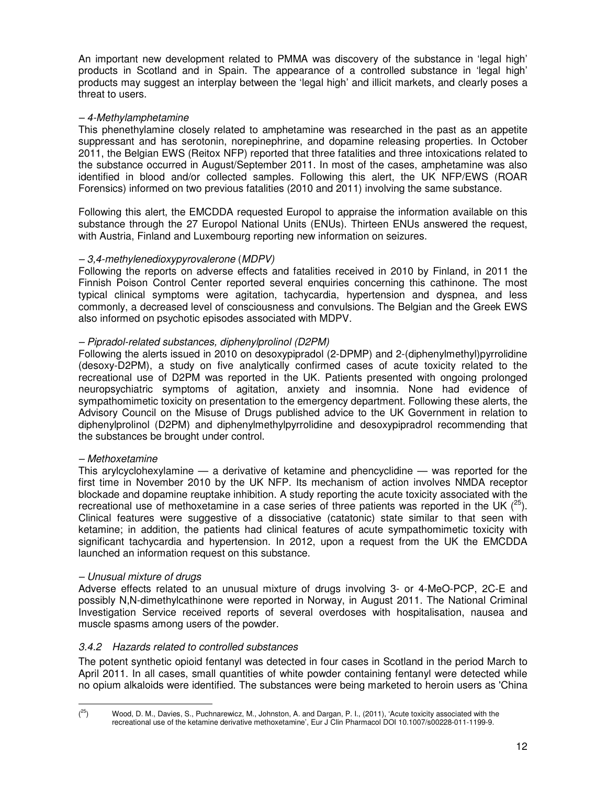An important new development related to PMMA was discovery of the substance in 'legal high' products in Scotland and in Spain. The appearance of a controlled substance in 'legal high' products may suggest an interplay between the 'legal high' and illicit markets, and clearly poses a threat to users.

## – 4-Methylamphetamine

This phenethylamine closely related to amphetamine was researched in the past as an appetite suppressant and has serotonin, norepinephrine, and dopamine releasing properties. In October 2011, the Belgian EWS (Reitox NFP) reported that three fatalities and three intoxications related to the substance occurred in August/September 2011. In most of the cases, amphetamine was also identified in blood and/or collected samples. Following this alert, the UK NFP/EWS (ROAR Forensics) informed on two previous fatalities (2010 and 2011) involving the same substance.

Following this alert, the EMCDDA requested Europol to appraise the information available on this substance through the 27 Europol National Units (ENUs). Thirteen ENUs answered the request, with Austria, Finland and Luxembourg reporting new information on seizures.

## – 3,4-methylenedioxypyrovalerone (MDPV)

Following the reports on adverse effects and fatalities received in 2010 by Finland, in 2011 the Finnish Poison Control Center reported several enquiries concerning this cathinone. The most typical clinical symptoms were agitation, tachycardia, hypertension and dyspnea, and less commonly, a decreased level of consciousness and convulsions. The Belgian and the Greek EWS also informed on psychotic episodes associated with MDPV.

## – Pipradol-related substances, diphenylprolinol (D2PM)

Following the alerts issued in 2010 on desoxypipradol (2-DPMP) and 2-(diphenylmethyl)pyrrolidine (desoxy-D2PM), a study on five analytically confirmed cases of acute toxicity related to the recreational use of D2PM was reported in the UK. Patients presented with ongoing prolonged neuropsychiatric symptoms of agitation, anxiety and insomnia. None had evidence of sympathomimetic toxicity on presentation to the emergency department. Following these alerts, the Advisory Council on the Misuse of Drugs published advice to the UK Government in relation to diphenylprolinol (D2PM) and diphenylmethylpyrrolidine and desoxypipradrol recommending that the substances be brought under control.

#### – Methoxetamine

This arylcyclohexylamine — a derivative of ketamine and phencyclidine — was reported for the first time in November 2010 by the UK NFP. Its mechanism of action involves NMDA receptor blockade and dopamine reuptake inhibition. A study reporting the acute toxicity associated with the recreational use of methoxetamine in a case series of three patients was reported in the UK  $(^{25})$ . Clinical features were suggestive of a dissociative (catatonic) state similar to that seen with ketamine; in addition, the patients had clinical features of acute sympathomimetic toxicity with significant tachycardia and hypertension. In 2012, upon a request from the UK the EMCDDA launched an information request on this substance.

#### – Unusual mixture of drugs

l

Adverse effects related to an unusual mixture of drugs involving 3- or 4-MeO-PCP, 2C-E and possibly N,N-dimethylcathinone were reported in Norway, in August 2011. The National Criminal Investigation Service received reports of several overdoses with hospitalisation, nausea and muscle spasms among users of the powder.

## 3.4.2 Hazards related to controlled substances

The potent synthetic opioid fentanyl was detected in four cases in Scotland in the period March to April 2011. In all cases, small quantities of white powder containing fentanyl were detected while no opium alkaloids were identified. The substances were being marketed to heroin users as 'China

 $(25)$ <sup>25</sup>) Wood, D. M., Davies, S., Puchnarewicz, M., Johnston, A. and Dargan, P. I., (2011), 'Acute toxicity associated with the recreational use of the ketamine derivative methoxetamine', Eur J Clin Pharmacol DOI 10.1007/s00228-011-1199-9.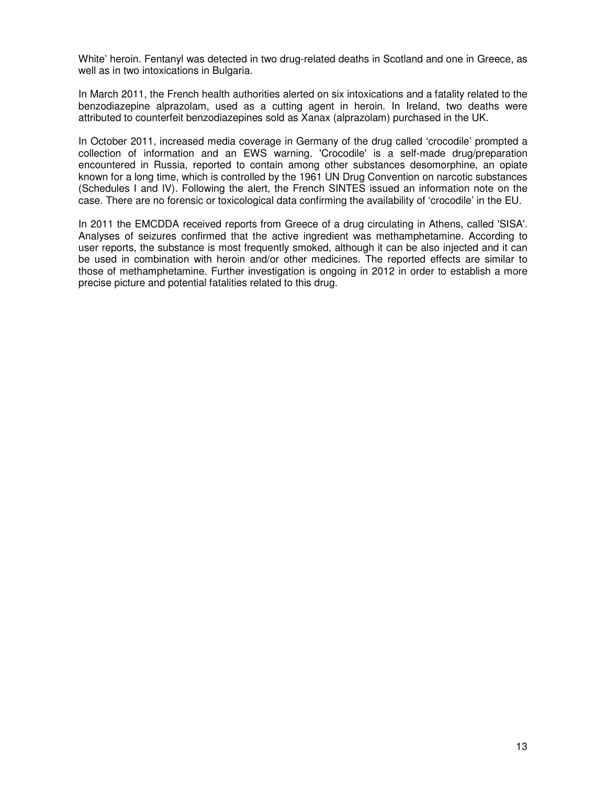White' heroin. Fentanyl was detected in two drug-related deaths in Scotland and one in Greece, as well as in two intoxications in Bulgaria.

In March 2011, the French health authorities alerted on six intoxications and a fatality related to the benzodiazepine alprazolam, used as a cutting agent in heroin. In Ireland, two deaths were attributed to counterfeit benzodiazepines sold as Xanax (alprazolam) purchased in the UK.

In October 2011, increased media coverage in Germany of the drug called 'crocodile' prompted a collection of information and an EWS warning. 'Crocodile' is a self-made drug/preparation encountered in Russia, reported to contain among other substances desomorphine, an opiate known for a long time, which is controlled by the 1961 UN Drug Convention on narcotic substances (Schedules I and IV). Following the alert, the French SINTES issued an information note on the case. There are no forensic or toxicological data confirming the availability of 'crocodile' in the EU.

In 2011 the EMCDDA received reports from Greece of a drug circulating in Athens, called 'SISA'. Analyses of seizures confirmed that the active ingredient was methamphetamine. According to user reports, the substance is most frequently smoked, although it can be also injected and it can be used in combination with heroin and/or other medicines. The reported effects are similar to those of methamphetamine. Further investigation is ongoing in 2012 in order to establish a more precise picture and potential fatalities related to this drug.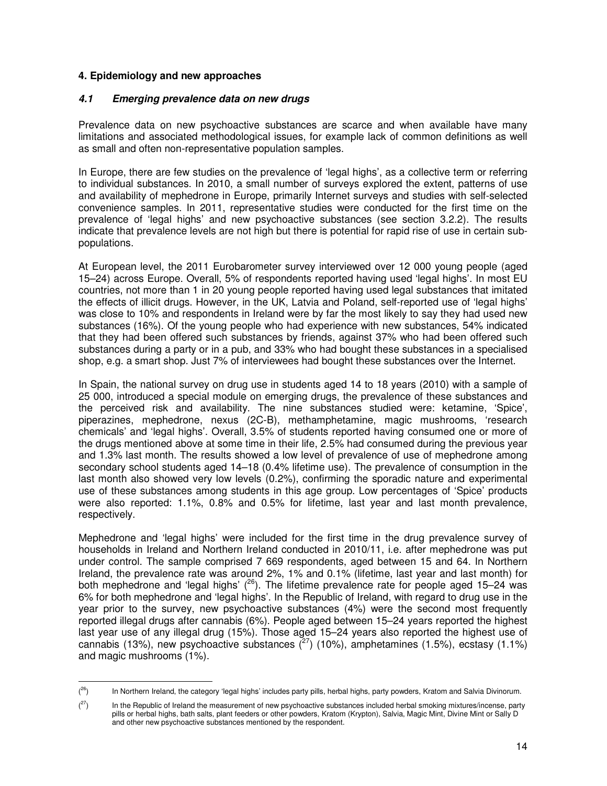#### **4. Epidemiology and new approaches**

l

### **4.1 Emerging prevalence data on new drugs**

Prevalence data on new psychoactive substances are scarce and when available have many limitations and associated methodological issues, for example lack of common definitions as well as small and often non-representative population samples.

In Europe, there are few studies on the prevalence of 'legal highs', as a collective term or referring to individual substances. In 2010, a small number of surveys explored the extent, patterns of use and availability of mephedrone in Europe, primarily Internet surveys and studies with self-selected convenience samples. In 2011, representative studies were conducted for the first time on the prevalence of 'legal highs' and new psychoactive substances (see section 3.2.2). The results indicate that prevalence levels are not high but there is potential for rapid rise of use in certain subpopulations.

At European level, the 2011 Eurobarometer survey interviewed over 12 000 young people (aged 15–24) across Europe. Overall, 5% of respondents reported having used 'legal highs'. In most EU countries, not more than 1 in 20 young people reported having used legal substances that imitated the effects of illicit drugs. However, in the UK, Latvia and Poland, self-reported use of 'legal highs' was close to 10% and respondents in Ireland were by far the most likely to say they had used new substances (16%). Of the young people who had experience with new substances, 54% indicated that they had been offered such substances by friends, against 37% who had been offered such substances during a party or in a pub, and 33% who had bought these substances in a specialised shop, e.g. a smart shop. Just 7% of interviewees had bought these substances over the Internet.

In Spain, the national survey on drug use in students aged 14 to 18 years (2010) with a sample of 25 000, introduced a special module on emerging drugs, the prevalence of these substances and the perceived risk and availability. The nine substances studied were: ketamine, 'Spice', piperazines, mephedrone, nexus (2C-B), methamphetamine, magic mushrooms, 'research chemicals' and 'legal highs'. Overall, 3.5% of students reported having consumed one or more of the drugs mentioned above at some time in their life, 2.5% had consumed during the previous year and 1.3% last month. The results showed a low level of prevalence of use of mephedrone among secondary school students aged 14–18 (0.4% lifetime use). The prevalence of consumption in the last month also showed very low levels (0.2%), confirming the sporadic nature and experimental use of these substances among students in this age group. Low percentages of 'Spice' products were also reported: 1.1%, 0.8% and 0.5% for lifetime, last year and last month prevalence, respectively.

Mephedrone and 'legal highs' were included for the first time in the drug prevalence survey of households in Ireland and Northern Ireland conducted in 2010/11, i.e. after mephedrone was put under control. The sample comprised 7 669 respondents, aged between 15 and 64. In Northern Ireland, the prevalence rate was around 2%, 1% and 0.1% (lifetime, last year and last month) for both mephedrone and 'legal highs'  $(^{26})$ . The lifetime prevalence rate for people aged 15–24 was 6% for both mephedrone and 'legal highs'. In the Republic of Ireland, with regard to drug use in the year prior to the survey, new psychoactive substances (4%) were the second most frequently reported illegal drugs after cannabis (6%). People aged between 15–24 years reported the highest last year use of any illegal drug (15%). Those aged 15–24 years also reported the highest use of cannabis (13%), new psychoactive substances  $\binom{27}{10}$  (10%), amphetamines (1.5%), ecstasy (1.1%) and magic mushrooms (1%).

 $(26)$ <sup>26</sup>) In Northern Ireland, the category 'legal highs' includes party pills, herbal highs, party powders, Kratom and Salvia Divinorum.

 $(27)$ In the Republic of Ireland the measurement of new psychoactive substances included herbal smoking mixtures/incense, party pills or herbal highs, bath salts, plant feeders or other powders, Kratom (Krypton), Salvia, Magic Mint, Divine Mint or Sally D and other new psychoactive substances mentioned by the respondent.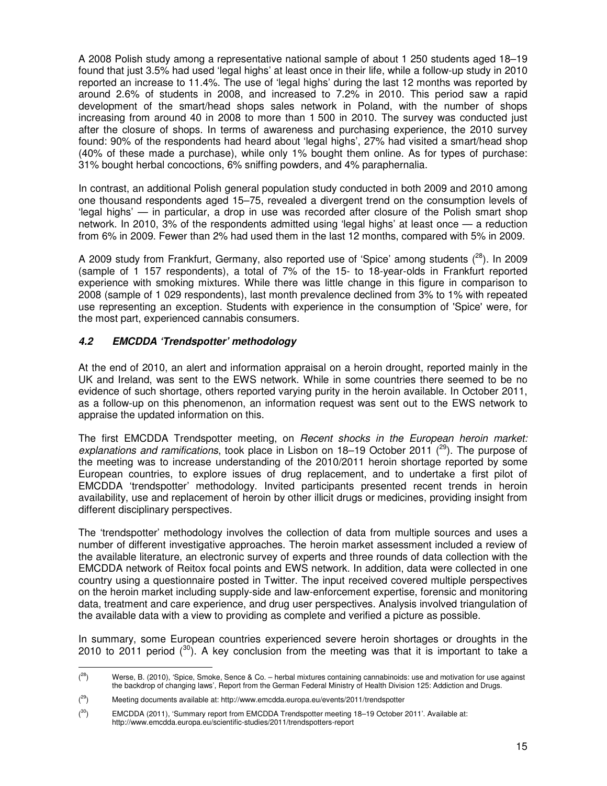A 2008 Polish study among a representative national sample of about 1 250 students aged 18–19 found that just 3.5% had used 'legal highs' at least once in their life, while a follow-up study in 2010 reported an increase to 11.4%. The use of 'legal highs' during the last 12 months was reported by around 2.6% of students in 2008, and increased to 7.2% in 2010. This period saw a rapid development of the smart/head shops sales network in Poland, with the number of shops increasing from around 40 in 2008 to more than 1 500 in 2010. The survey was conducted just after the closure of shops. In terms of awareness and purchasing experience, the 2010 survey found: 90% of the respondents had heard about 'legal highs', 27% had visited a smart/head shop (40% of these made a purchase), while only 1% bought them online. As for types of purchase: 31% bought herbal concoctions, 6% sniffing powders, and 4% paraphernalia.

In contrast, an additional Polish general population study conducted in both 2009 and 2010 among one thousand respondents aged 15–75, revealed a divergent trend on the consumption levels of 'legal highs' — in particular, a drop in use was recorded after closure of the Polish smart shop network. In 2010, 3% of the respondents admitted using 'legal highs' at least once — a reduction from 6% in 2009. Fewer than 2% had used them in the last 12 months, compared with 5% in 2009.

A 2009 study from Frankfurt, Germany, also reported use of 'Spice' among students  $(^{28})$ . In 2009 (sample of 1 157 respondents), a total of 7% of the 15- to 18-year-olds in Frankfurt reported experience with smoking mixtures. While there was little change in this figure in comparison to 2008 (sample of 1 029 respondents), last month prevalence declined from 3% to 1% with repeated use representing an exception. Students with experience in the consumption of 'Spice' were, for the most part, experienced cannabis consumers.

## **4.2 EMCDDA 'Trendspotter' methodology**

At the end of 2010, an alert and information appraisal on a heroin drought, reported mainly in the UK and Ireland, was sent to the EWS network. While in some countries there seemed to be no evidence of such shortage, others reported varying purity in the heroin available. In October 2011, as a follow-up on this phenomenon, an information request was sent out to the EWS network to appraise the updated information on this.

The first EMCDDA Trendspotter meeting, on Recent shocks in the European heroin market: explanations and ramifications, took place in Lisbon on 18–19 October 2011 ( $^{29}$ ). The purpose of the meeting was to increase understanding of the 2010/2011 heroin shortage reported by some European countries, to explore issues of drug replacement, and to undertake a first pilot of EMCDDA 'trendspotter' methodology. Invited participants presented recent trends in heroin availability, use and replacement of heroin by other illicit drugs or medicines, providing insight from different disciplinary perspectives.

The 'trendspotter' methodology involves the collection of data from multiple sources and uses a number of different investigative approaches. The heroin market assessment included a review of the available literature, an electronic survey of experts and three rounds of data collection with the EMCDDA network of Reitox focal points and EWS network. In addition, data were collected in one country using a questionnaire posted in Twitter. The input received covered multiple perspectives on the heroin market including supply-side and law-enforcement expertise, forensic and monitoring data, treatment and care experience, and drug user perspectives. Analysis involved triangulation of the available data with a view to providing as complete and verified a picture as possible.

In summary, some European countries experienced severe heroin shortages or droughts in the 2010 to 2011 period  $\binom{30}{1}$ . A key conclusion from the meeting was that it is important to take a

 $(28)$ Werse, B. (2010), 'Spice, Smoke, Sence & Co. - herbal mixtures containing cannabinoids: use and motivation for use against the backdrop of changing laws', Report from the German Federal Ministry of Health Division 125: Addiction and Drugs.

 $(29)$ <sup>29</sup>) Meeting documents available at: http://www.emcdda.europa.eu/events/2011/trendspotter

 $(30)$ EMCDDA (2011), 'Summary report from EMCDDA Trendspotter meeting 18-19 October 2011'. Available at: http://www.emcdda.europa.eu/scientific-studies/2011/trendspotters-report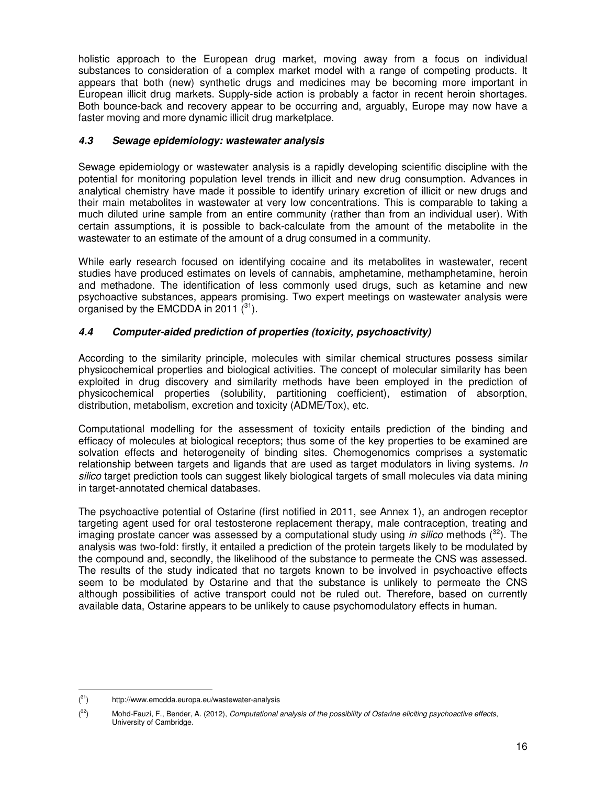holistic approach to the European drug market, moving away from a focus on individual substances to consideration of a complex market model with a range of competing products. It appears that both (new) synthetic drugs and medicines may be becoming more important in European illicit drug markets. Supply-side action is probably a factor in recent heroin shortages. Both bounce-back and recovery appear to be occurring and, arguably, Europe may now have a faster moving and more dynamic illicit drug marketplace.

## **4.3 Sewage epidemiology: wastewater analysis**

Sewage epidemiology or wastewater analysis is a rapidly developing scientific discipline with the potential for monitoring population level trends in illicit and new drug consumption. Advances in analytical chemistry have made it possible to identify urinary excretion of illicit or new drugs and their main metabolites in wastewater at very low concentrations. This is comparable to taking a much diluted urine sample from an entire community (rather than from an individual user). With certain assumptions, it is possible to back-calculate from the amount of the metabolite in the wastewater to an estimate of the amount of a drug consumed in a community.

While early research focused on identifying cocaine and its metabolites in wastewater, recent studies have produced estimates on levels of cannabis, amphetamine, methamphetamine, heroin and methadone. The identification of less commonly used drugs, such as ketamine and new psychoactive substances, appears promising. Two expert meetings on wastewater analysis were organised by the EMCDDA in 2011  $(^{31})$ .

## **4.4 Computer-aided prediction of properties (toxicity, psychoactivity)**

According to the similarity principle, molecules with similar chemical structures possess similar physicochemical properties and biological activities. The concept of molecular similarity has been exploited in drug discovery and similarity methods have been employed in the prediction of physicochemical properties (solubility, partitioning coefficient), estimation of absorption, distribution, metabolism, excretion and toxicity (ADME/Tox), etc.

Computational modelling for the assessment of toxicity entails prediction of the binding and efficacy of molecules at biological receptors; thus some of the key properties to be examined are solvation effects and heterogeneity of binding sites. Chemogenomics comprises a systematic relationship between targets and ligands that are used as target modulators in living systems. In silico target prediction tools can suggest likely biological targets of small molecules via data mining in target-annotated chemical databases.

The psychoactive potential of Ostarine (first notified in 2011, see Annex 1), an androgen receptor targeting agent used for oral testosterone replacement therapy, male contraception, treating and imaging prostate cancer was assessed by a computational study using in silico methods  $(^{32})$ . The analysis was two-fold: firstly, it entailed a prediction of the protein targets likely to be modulated by the compound and, secondly, the likelihood of the substance to permeate the CNS was assessed. The results of the study indicated that no targets known to be involved in psychoactive effects seem to be modulated by Ostarine and that the substance is unlikely to permeate the CNS although possibilities of active transport could not be ruled out. Therefore, based on currently available data, Ostarine appears to be unlikely to cause psychomodulatory effects in human.

 $(31)$ http://www.emcdda.europa.eu/wastewater-analysis

 $(32)$ Mohd-Fauzi, F., Bender, A. (2012), Computational analysis of the possibility of Ostarine eliciting psychoactive effects, University of Cambridge.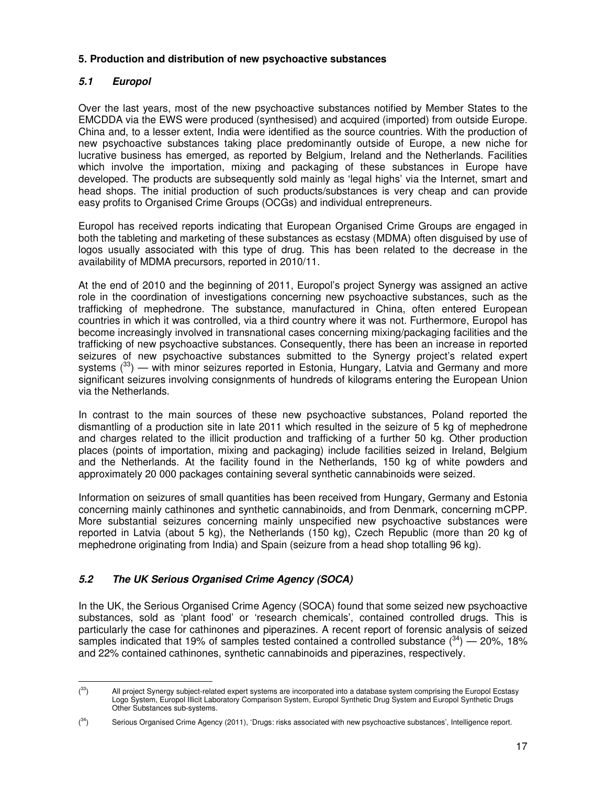## **5. Production and distribution of new psychoactive substances**

## **5.1 Europol**

l

Over the last years, most of the new psychoactive substances notified by Member States to the EMCDDA via the EWS were produced (synthesised) and acquired (imported) from outside Europe. China and, to a lesser extent, India were identified as the source countries. With the production of new psychoactive substances taking place predominantly outside of Europe, a new niche for lucrative business has emerged, as reported by Belgium, Ireland and the Netherlands. Facilities which involve the importation, mixing and packaging of these substances in Europe have developed. The products are subsequently sold mainly as 'legal highs' via the Internet, smart and head shops. The initial production of such products/substances is very cheap and can provide easy profits to Organised Crime Groups (OCGs) and individual entrepreneurs.

Europol has received reports indicating that European Organised Crime Groups are engaged in both the tableting and marketing of these substances as ecstasy (MDMA) often disguised by use of logos usually associated with this type of drug. This has been related to the decrease in the availability of MDMA precursors, reported in 2010/11.

At the end of 2010 and the beginning of 2011, Europol's project Synergy was assigned an active role in the coordination of investigations concerning new psychoactive substances, such as the trafficking of mephedrone. The substance, manufactured in China, often entered European countries in which it was controlled, via a third country where it was not. Furthermore, Europol has become increasingly involved in transnational cases concerning mixing/packaging facilities and the trafficking of new psychoactive substances. Consequently, there has been an increase in reported seizures of new psychoactive substances submitted to the Synergy project's related expert systems  $(33)$  — with minor seizures reported in Estonia, Hungary, Latvia and Germany and more significant seizures involving consignments of hundreds of kilograms entering the European Union via the Netherlands.

In contrast to the main sources of these new psychoactive substances, Poland reported the dismantling of a production site in late 2011 which resulted in the seizure of 5 kg of mephedrone and charges related to the illicit production and trafficking of a further 50 kg. Other production places (points of importation, mixing and packaging) include facilities seized in Ireland, Belgium and the Netherlands. At the facility found in the Netherlands, 150 kg of white powders and approximately 20 000 packages containing several synthetic cannabinoids were seized.

Information on seizures of small quantities has been received from Hungary, Germany and Estonia concerning mainly cathinones and synthetic cannabinoids, and from Denmark, concerning mCPP. More substantial seizures concerning mainly unspecified new psychoactive substances were reported in Latvia (about 5 kg), the Netherlands (150 kg), Czech Republic (more than 20 kg of mephedrone originating from India) and Spain (seizure from a head shop totalling 96 kg).

# **5.2 The UK Serious Organised Crime Agency (SOCA)**

In the UK, the Serious Organised Crime Agency (SOCA) found that some seized new psychoactive substances, sold as 'plant food' or 'research chemicals', contained controlled drugs. This is particularly the case for cathinones and piperazines. A recent report of forensic analysis of seized samples indicated that 19% of samples tested contained a controlled substance  $(34)$  – 20%, 18% and 22% contained cathinones, synthetic cannabinoids and piperazines, respectively.

 $(33)$ All project Synergy subject-related expert systems are incorporated into a database system comprising the Europol Ecstasy Logo System, Europol Illicit Laboratory Comparison System, Europol Synthetic Drug System and Europol Synthetic Drugs Other Substances sub-systems.

 $(34)$ Serious Organised Crime Agency (2011), 'Drugs: risks associated with new psychoactive substances', Intelligence report.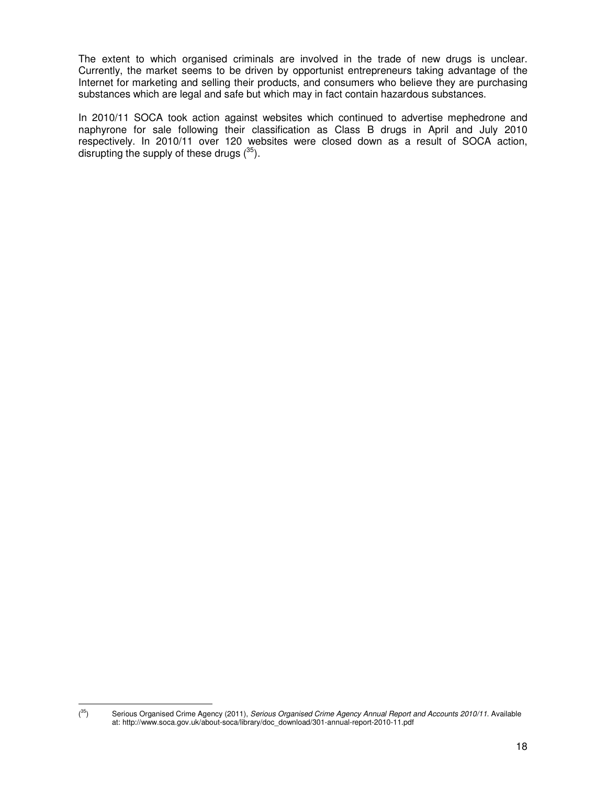The extent to which organised criminals are involved in the trade of new drugs is unclear. Currently, the market seems to be driven by opportunist entrepreneurs taking advantage of the Internet for marketing and selling their products, and consumers who believe they are purchasing substances which are legal and safe but which may in fact contain hazardous substances.

In 2010/11 SOCA took action against websites which continued to advertise mephedrone and naphyrone for sale following their classification as Class B drugs in April and July 2010 respectively. In 2010/11 over 120 websites were closed down as a result of SOCA action, disrupting the supply of these drugs  $(^{35})$ .

l  $(35)$ 

Serious Organised Crime Agency (2011), Serious Organised Crime Agency Annual Report and Accounts 2010/11. Available at: http://www.soca.gov.uk/about-soca/library/doc\_download/301-annual-report-2010-11.pdf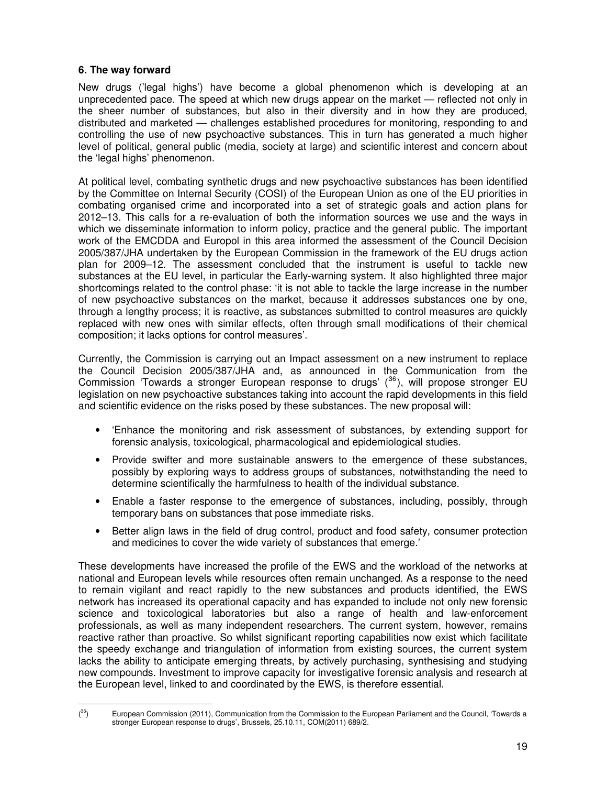## **6. The way forward**

New drugs ('legal highs') have become a global phenomenon which is developing at an unprecedented pace. The speed at which new drugs appear on the market — reflected not only in the sheer number of substances, but also in their diversity and in how they are produced, distributed and marketed — challenges established procedures for monitoring, responding to and controlling the use of new psychoactive substances. This in turn has generated a much higher level of political, general public (media, society at large) and scientific interest and concern about the 'legal highs' phenomenon.

At political level, combating synthetic drugs and new psychoactive substances has been identified by the Committee on Internal Security (COSI) of the European Union as one of the EU priorities in combating organised crime and incorporated into a set of strategic goals and action plans for 2012–13. This calls for a re-evaluation of both the information sources we use and the ways in which we disseminate information to inform policy, practice and the general public. The important work of the EMCDDA and Europol in this area informed the assessment of the Council Decision 2005/387/JHA undertaken by the European Commission in the framework of the EU drugs action plan for 2009–12. The assessment concluded that the instrument is useful to tackle new substances at the EU level, in particular the Early-warning system. It also highlighted three major shortcomings related to the control phase: 'it is not able to tackle the large increase in the number of new psychoactive substances on the market, because it addresses substances one by one, through a lengthy process; it is reactive, as substances submitted to control measures are quickly replaced with new ones with similar effects, often through small modifications of their chemical composition; it lacks options for control measures'.

Currently, the Commission is carrying out an Impact assessment on a new instrument to replace the Council Decision 2005/387/JHA and, as announced in the Communication from the Commission 'Towards a stronger European response to drugs'  $(^{36})$ , will propose stronger EU legislation on new psychoactive substances taking into account the rapid developments in this field and scientific evidence on the risks posed by these substances. The new proposal will:

- 'Enhance the monitoring and risk assessment of substances, by extending support for forensic analysis, toxicological, pharmacological and epidemiological studies.
- Provide swifter and more sustainable answers to the emergence of these substances, possibly by exploring ways to address groups of substances, notwithstanding the need to determine scientifically the harmfulness to health of the individual substance.
- Enable a faster response to the emergence of substances, including, possibly, through temporary bans on substances that pose immediate risks.
- Better align laws in the field of drug control, product and food safety, consumer protection and medicines to cover the wide variety of substances that emerge.'

These developments have increased the profile of the EWS and the workload of the networks at national and European levels while resources often remain unchanged. As a response to the need to remain vigilant and react rapidly to the new substances and products identified, the EWS network has increased its operational capacity and has expanded to include not only new forensic science and toxicological laboratories but also a range of health and law-enforcement professionals, as well as many independent researchers. The current system, however, remains reactive rather than proactive. So whilst significant reporting capabilities now exist which facilitate the speedy exchange and triangulation of information from existing sources, the current system lacks the ability to anticipate emerging threats, by actively purchasing, synthesising and studying new compounds. Investment to improve capacity for investigative forensic analysis and research at the European level, linked to and coordinated by the EWS, is therefore essential.

 $(36)$ European Commission (2011), Communication from the Commission to the European Parliament and the Council, 'Towards a stronger European response to drugs', Brussels, 25.10.11, COM(2011) 689/2.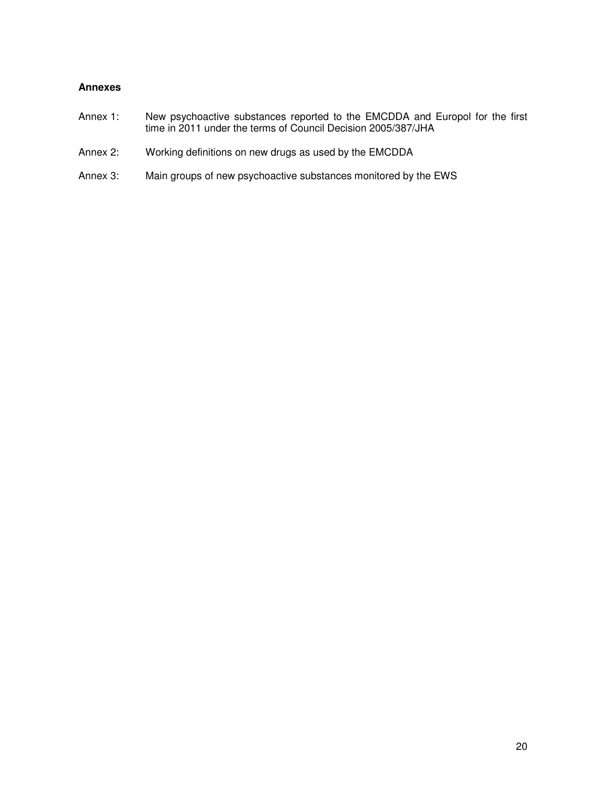## **Annexes**

- Annex 1: New psychoactive substances reported to the EMCDDA and Europol for the first time in 2011 under the terms of Council Decision 2005/387/JHA
- Annex 2: Working definitions on new drugs as used by the EMCDDA
- Annex 3: Main groups of new psychoactive substances monitored by the EWS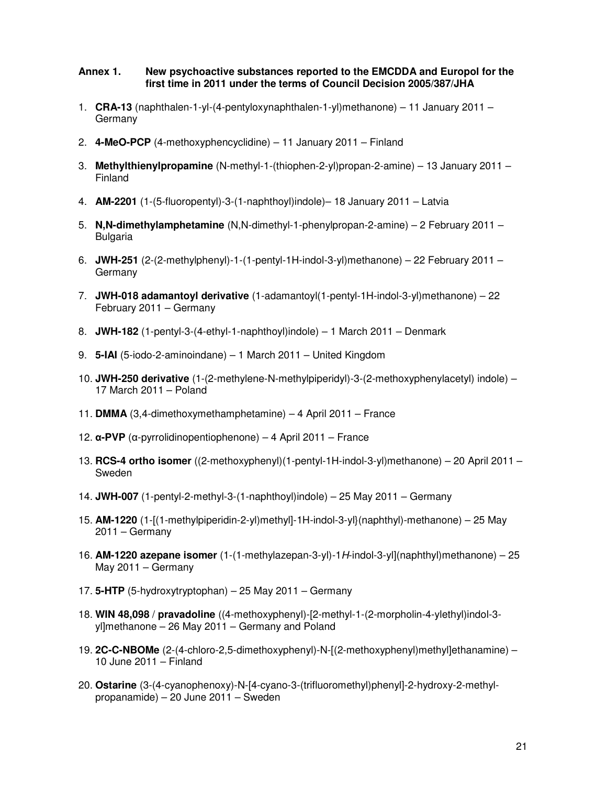#### **Annex 1. New psychoactive substances reported to the EMCDDA and Europol for the first time in 2011 under the terms of Council Decision 2005/387/JHA**

- 1. **CRA-13** (naphthalen-1-yl-(4-pentyloxynaphthalen-1-yl)methanone) 11 January 2011 Germany
- 2. **4-MeO-PCP** (4-methoxyphencyclidine) 11 January 2011 Finland
- 3. **Methylthienylpropamine** (N-methyl-1-(thiophen-2-yl)propan-2-amine) 13 January 2011 Finland
- 4. **AM-2201** (1-(5-fluoropentyl)-3-(1-naphthoyl)indole)– 18 January 2011 Latvia
- 5. **N,N-dimethylamphetamine** (N,N-dimethyl-1-phenylpropan-2-amine) 2 February 2011 Bulgaria
- 6. **JWH-251** (2-(2-methylphenyl)-1-(1-pentyl-1H-indol-3-yl)methanone) 22 February 2011 **Germany**
- 7. **JWH-018 adamantoyl derivative** (1-adamantoyl(1-pentyl-1H-indol-3-yl)methanone) 22 February 2011 – Germany
- 8. **JWH-182** (1-pentyl-3-(4-ethyl-1-naphthoyl)indole) 1 March 2011 Denmark
- 9. **5-IAI** (5-iodo-2-aminoindane) 1 March 2011 United Kingdom
- 10. **JWH-250 derivative** (1-(2-methylene-N-methylpiperidyl)-3-(2-methoxyphenylacetyl) indole) 17 March 2011 – Poland
- 11. **DMMA** (3,4-dimethoxymethamphetamine) 4 April 2011 France
- 12. α**-PVP** (α-pyrrolidinopentiophenone) 4 April 2011 France
- 13. **RCS-4 ortho isomer** ((2-methoxyphenyl)(1-pentyl-1H-indol-3-yl)methanone) 20 April 2011 Sweden
- 14. **JWH-007** (1-pentyl-2-methyl-3-(1-naphthoyl)indole) 25 May 2011 Germany
- 15. **AM-1220** (1-[(1-methylpiperidin-2-yl)methyl]-1H-indol-3-yl}(naphthyl)-methanone) 25 May 2011 – Germany
- 16. **AM-1220 azepane isomer** (1-(1-methylazepan-3-yl)-1H-indol-3-yl](naphthyl)methanone) 25 May 2011 – Germany
- 17. **5-HTP** (5-hydroxytryptophan) 25 May 2011 Germany
- 18. **WIN 48,098** / **pravadoline** ((4-methoxyphenyl)-[2-methyl-1-(2-morpholin-4-ylethyl)indol-3 yl]methanone – 26 May 2011 – Germany and Poland
- 19. **2C-C-NBOMe** (2-(4-chloro-2,5-dimethoxyphenyl)-N-[(2-methoxyphenyl)methyl]ethanamine) 10 June 2011 – Finland
- 20. **Ostarine** (3-(4-cyanophenoxy)-N-[4-cyano-3-(trifluoromethyl)phenyl]-2-hydroxy-2-methylpropanamide) – 20 June 2011 – Sweden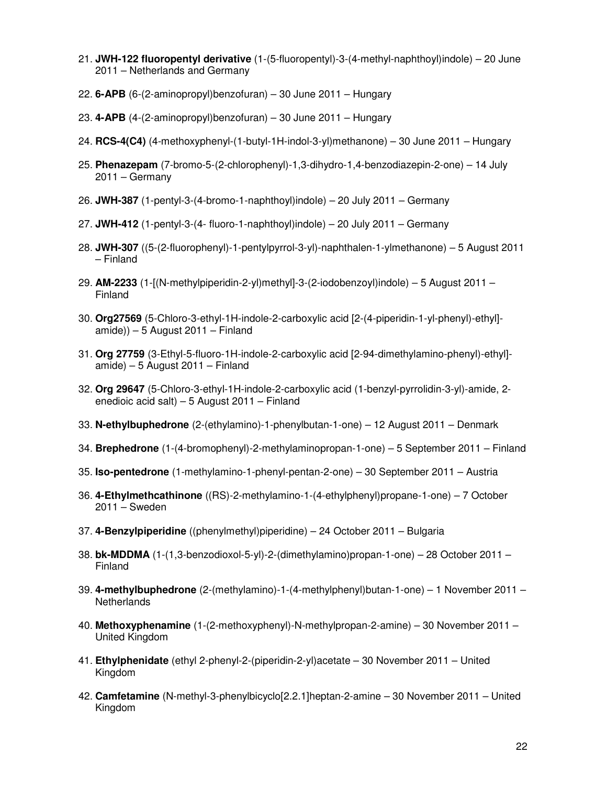- 21. **JWH-122 fluoropentyl derivative** (1-(5-fluoropentyl)-3-(4-methyl-naphthoyl)indole) 20 June 2011 – Netherlands and Germany
- 22. **6-APB** (6-(2-aminopropyl)benzofuran) 30 June 2011 Hungary
- 23. **4-APB** (4-(2-aminopropyl)benzofuran) 30 June 2011 Hungary
- 24. **RCS-4(C4)** (4-methoxyphenyl-(1-butyl-1H-indol-3-yl)methanone) 30 June 2011 Hungary
- 25. **Phenazepam** (7-bromo-5-(2-chlorophenyl)-1,3-dihydro-1,4-benzodiazepin-2-one) 14 July 2011 – Germany
- 26. **JWH-387** (1-pentyl-3-(4-bromo-1-naphthoyl)indole) 20 July 2011 Germany
- 27. **JWH-412** (1-pentyl-3-(4- fluoro-1-naphthoyl)indole) 20 July 2011 Germany
- 28. **JWH-307** ((5-(2-fluorophenyl)-1-pentylpyrrol-3-yl)-naphthalen-1-ylmethanone) 5 August 2011 – Finland
- 29. **AM-2233** (1-[(N-methylpiperidin-2-yl)methyl]-3-(2-iodobenzoyl)indole) 5 August 2011 Finland
- 30. **Org27569** (5-Chloro-3-ethyl-1H-indole-2-carboxylic acid [2-(4-piperidin-1-yl-phenyl)-ethyl] amide)) – 5 August 2011 – Finland
- 31. **Org 27759** (3-Ethyl-5-fluoro-1H-indole-2-carboxylic acid [2-94-dimethylamino-phenyl)-ethyl] amide) – 5 August 2011 – Finland
- 32. **Org 29647** (5-Chloro-3-ethyl-1H-indole-2-carboxylic acid (1-benzyl-pyrrolidin-3-yl)-amide, 2 enedioic acid salt) – 5 August 2011 – Finland
- 33. **N-ethylbuphedrone** (2-(ethylamino)-1-phenylbutan-1-one) 12 August 2011 Denmark
- 34. **Brephedrone** (1-(4-bromophenyl)-2-methylaminopropan-1-one) 5 September 2011 Finland
- 35. **Iso-pentedrone** (1-methylamino-1-phenyl-pentan-2-one) 30 September 2011 Austria
- 36. **4-Ethylmethcathinone** ((RS)-2-methylamino-1-(4-ethylphenyl)propane-1-one) 7 October 2011 – Sweden
- 37. **4-Benzylpiperidine** ((phenylmethyl)piperidine) 24 October 2011 Bulgaria
- 38. **bk-MDDMA** (1-(1,3-benzodioxol-5-yl)-2-(dimethylamino)propan-1-one) 28 October 2011 Finland
- 39. **4-methylbuphedrone** (2-(methylamino)-1-(4-methylphenyl)butan-1-one) 1 November 2011 **Netherlands**
- 40. **Methoxyphenamine** (1-(2-methoxyphenyl)-N-methylpropan-2-amine) 30 November 2011 United Kingdom
- 41. **Ethylphenidate** (ethyl 2-phenyl-2-(piperidin-2-yl)acetate 30 November 2011 United Kingdom
- 42. **Camfetamine** (N-methyl-3-phenylbicyclo[2.2.1]heptan-2-amine 30 November 2011 United Kingdom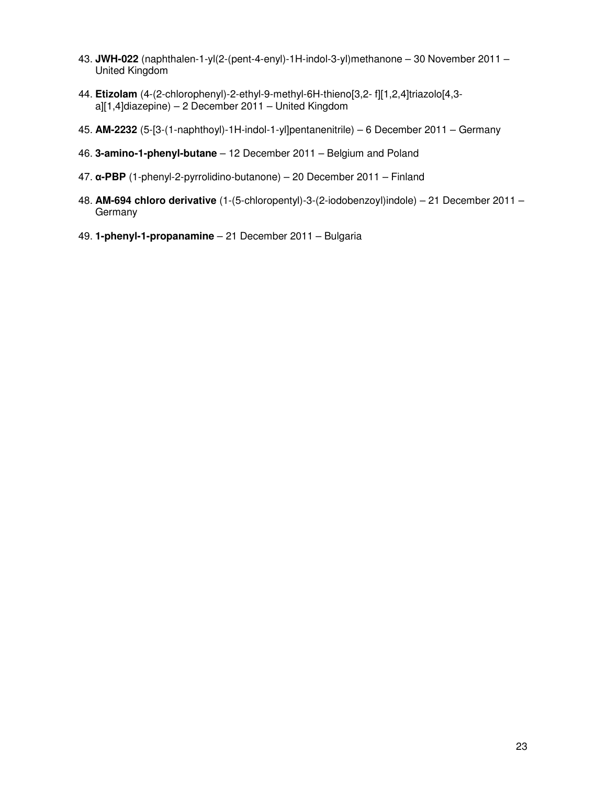- 43. **JWH-022** (naphthalen-1-yl(2-(pent-4-enyl)-1H-indol-3-yl)methanone 30 November 2011 United Kingdom
- 44. **Etizolam** (4-(2-chlorophenyl)-2-ethyl-9-methyl-6H-thieno[3,2- f][1,2,4]triazolo[4,3 a][1,4]diazepine) – 2 December 2011 – United Kingdom
- 45. **AM-2232** (5-[3-(1-naphthoyl)-1H-indol-1-yl]pentanenitrile) 6 December 2011 Germany
- 46. **3-amino-1-phenyl-butane** 12 December 2011 Belgium and Poland
- 47. α**-PBP** (1-phenyl-2-pyrrolidino-butanone) 20 December 2011 Finland
- 48. **AM-694 chloro derivative** (1-(5-chloropentyl)-3-(2-iodobenzoyl)indole) 21 December 2011 **Germany**
- 49. **1-phenyl-1-propanamine**  21 December 2011 Bulgaria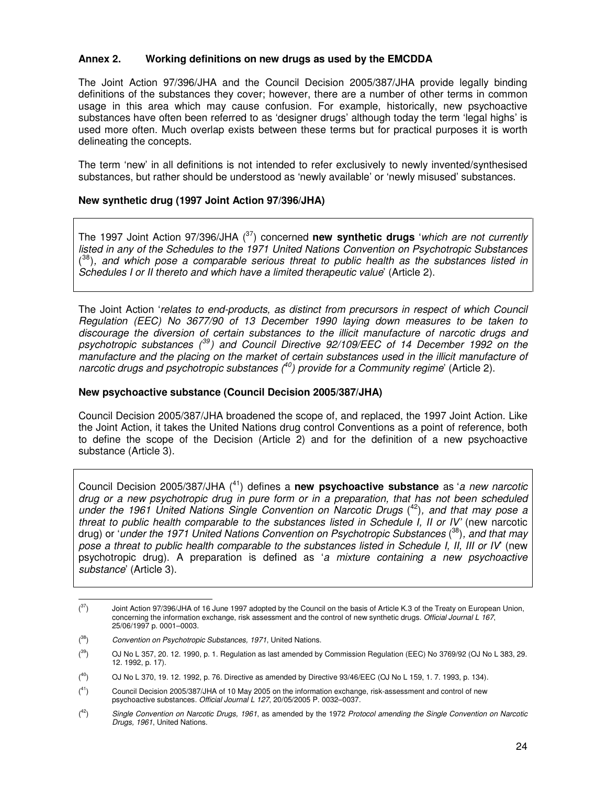#### **Annex 2. Working definitions on new drugs as used by the EMCDDA**

The Joint Action 97/396/JHA and the Council Decision 2005/387/JHA provide legally binding definitions of the substances they cover; however, there are a number of other terms in common usage in this area which may cause confusion. For example, historically, new psychoactive substances have often been referred to as 'designer drugs' although today the term 'legal highs' is used more often. Much overlap exists between these terms but for practical purposes it is worth delineating the concepts.

The term 'new' in all definitions is not intended to refer exclusively to newly invented/synthesised substances, but rather should be understood as 'newly available' or 'newly misused' substances.

#### **New synthetic drug (1997 Joint Action 97/396/JHA)**

The 1997 Joint Action 97/396/JHA (<sup>37</sup>) concerned **new synthetic drugs** 'which are not currently listed in any of the Schedules to the 1971 United Nations Convention on Psychotropic Substances  $(38)$ , and which pose a comparable serious threat to public health as the substances listed in Schedules I or II thereto and which have a limited therapeutic value' (Article 2).

The Joint Action 'relates to end-products, as distinct from precursors in respect of which Council Regulation (EEC) No 3677/90 of 13 December 1990 laying down measures to be taken to discourage the diversion of certain substances to the illicit manufacture of narcotic drugs and psychotropic substances  $(^{39})$  and Council Directive 92/109/EEC of 14 December 1992 on the manufacture and the placing on the market of certain substances used in the illicit manufacture of narcotic drugs and psychotropic substances  $(^{40})$  provide for a Community regime' (Article 2).

#### **New psychoactive substance (Council Decision 2005/387/JHA)**

Council Decision 2005/387/JHA broadened the scope of, and replaced, the 1997 Joint Action. Like the Joint Action, it takes the United Nations drug control Conventions as a point of reference, both to define the scope of the Decision (Article 2) and for the definition of a new psychoactive substance (Article 3).

Council Decision 2005/387/JHA (<sup>41</sup>) defines a **new psychoactive substance** as 'a new narcotic drug or a new psychotropic drug in pure form or in a preparation, that has not been scheduled under the 1961 United Nations Single Convention on Narcotic Drugs  $(42)$ , and that may pose a threat to public health comparable to the substances listed in Schedule I, II or IV' (new narcotic drug) or 'under the 1971 United Nations Convention on Psychotropic Substances (<sup>38</sup>), and that may pose a threat to public health comparable to the substances listed in Schedule I, II, III or IV' (new psychotropic drug). A preparation is defined as 'a mixture containing a new psychoactive substance' (Article 3).

 $(37)$ Joint Action 97/396/JHA of 16 June 1997 adopted by the Council on the basis of Article K.3 of the Treaty on European Union, concerning the information exchange, risk assessment and the control of new synthetic drugs. Official Journal L 167, 25/06/1997 p. 0001–0003.

 $(38)$ Convention on Psychotropic Substances, 1971, United Nations.

 $(39)$ <sup>39</sup>) OJ No L 357, 20. 12. 1990, p. 1. Regulation as last amended by Commission Regulation (EEC) No 3769/92 (OJ No L 383, 29. 12. 1992, p. 17).

 $(40)$ <sup>40</sup>) OJ No L 370, 19. 12. 1992, p. 76. Directive as amended by Directive 93/46/EEC (OJ No L 159, 1. 7. 1993, p. 134).

 $(41)$ <sup>41</sup>) Council Decision 2005/387/JHA of 10 May 2005 on the information exchange, risk-assessment and control of new psychoactive substances. Official Journal L 127, 20/05/2005 P. 0032–0037.

 $(42)$ Single Convention on Narcotic Drugs, 1961, as amended by the 1972 Protocol amending the Single Convention on Narcotic Drugs, 1961, United Nations.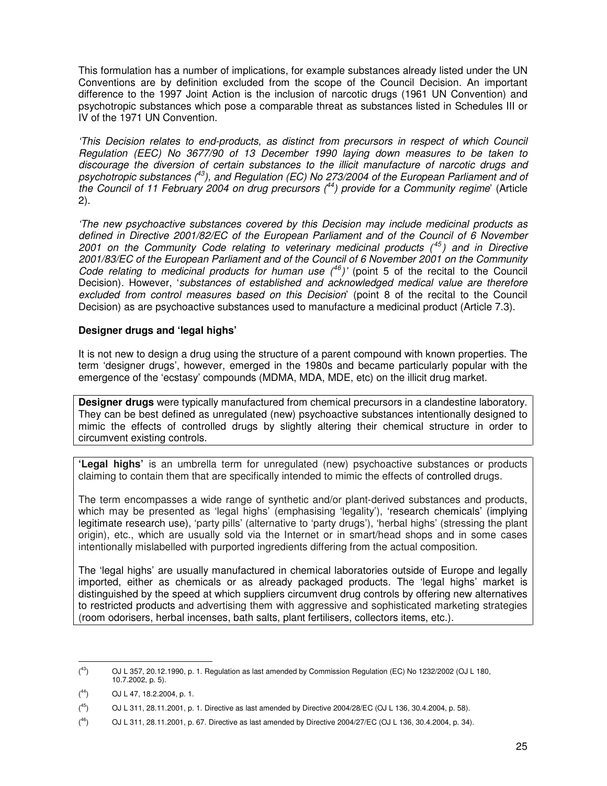This formulation has a number of implications, for example substances already listed under the UN Conventions are by definition excluded from the scope of the Council Decision. An important difference to the 1997 Joint Action is the inclusion of narcotic drugs (1961 UN Convention) and psychotropic substances which pose a comparable threat as substances listed in Schedules III or IV of the 1971 UN Convention.

'This Decision relates to end-products, as distinct from precursors in respect of which Council Regulation (EEC) No 3677/90 of 13 December 1990 laying down measures to be taken to discourage the diversion of certain substances to the illicit manufacture of narcotic drugs and psychotropic substances  $(43)$ , and Regulation (EC) No 273/2004 of the European Parliament and of the Council of 11 February 2004 on drug precursors  $(^{44})$  provide for a Community regime' (Article 2).

'The new psychoactive substances covered by this Decision may include medicinal products as defined in Directive 2001/82/EC of the European Parliament and of the Council of 6 November 2001 on the Community Code relating to veterinary medicinal products  $(45)$  and in Directive 2001/83/EC of the European Parliament and of the Council of 6 November 2001 on the Community Code relating to medicinal products for human use  $(^{46})'$  (point 5 of the recital to the Council Decision). However, 'substances of established and acknowledged medical value are therefore excluded from control measures based on this Decision' (point 8 of the recital to the Council Decision) as are psychoactive substances used to manufacture a medicinal product (Article 7.3).

#### **Designer drugs and 'legal highs'**

It is not new to design a drug using the structure of a parent compound with known properties. The term 'designer drugs', however, emerged in the 1980s and became particularly popular with the emergence of the 'ecstasy' compounds (MDMA, MDA, MDE, etc) on the illicit drug market.

**Designer drugs** were typically manufactured from chemical precursors in a clandestine laboratory. They can be best defined as unregulated (new) psychoactive substances intentionally designed to mimic the effects of controlled drugs by slightly altering their chemical structure in order to circumvent existing controls.

**'Legal highs'** is an umbrella term for unregulated (new) psychoactive substances or products claiming to contain them that are specifically intended to mimic the effects of controlled drugs.

The term encompasses a wide range of synthetic and/or plant-derived substances and products, which may be presented as 'legal highs' (emphasising 'legality'), 'research chemicals' (implying legitimate research use), 'party pills' (alternative to 'party drugs'), 'herbal highs' (stressing the plant origin), etc., which are usually sold via the Internet or in smart/head shops and in some cases intentionally mislabelled with purported ingredients differing from the actual composition.

The 'legal highs' are usually manufactured in chemical laboratories outside of Europe and legally imported, either as chemicals or as already packaged products. The 'legal highs' market is distinguished by the speed at which suppliers circumvent drug controls by offering new alternatives to restricted products and advertising them with aggressive and sophisticated marketing strategies (room odorisers, herbal incenses, bath salts, plant fertilisers, collectors items, etc.).

 $(43)$ <sup>43</sup>) OJ L 357, 20.12.1990, p. 1. Regulation as last amended by Commission Regulation (EC) No 1232/2002 (OJ L 180, 10.7.2002, p. 5).

 $(44)$ <sup>44</sup>) OJ L 47, 18.2.2004, p. 1.

 $\binom{45}{ }$ <sup>45</sup>) OJ L 311, 28.11.2001, p. 1. Directive as last amended by Directive 2004/28/EC (OJ L 136, 30.4.2004, p. 58).

 $(46)$ <sup>46</sup>) OJ L 311, 28.11.2001, p. 67. Directive as last amended by Directive 2004/27/EC (OJ L 136, 30.4.2004, p. 34).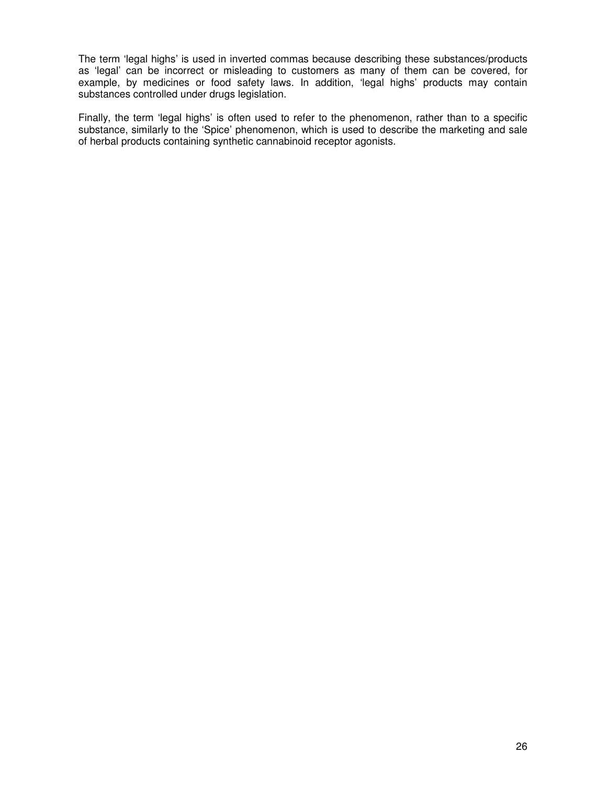The term 'legal highs' is used in inverted commas because describing these substances/products as 'legal' can be incorrect or misleading to customers as many of them can be covered, for example, by medicines or food safety laws. In addition, 'legal highs' products may contain substances controlled under drugs legislation.

Finally, the term 'legal highs' is often used to refer to the phenomenon, rather than to a specific substance, similarly to the 'Spice' phenomenon, which is used to describe the marketing and sale of herbal products containing synthetic cannabinoid receptor agonists.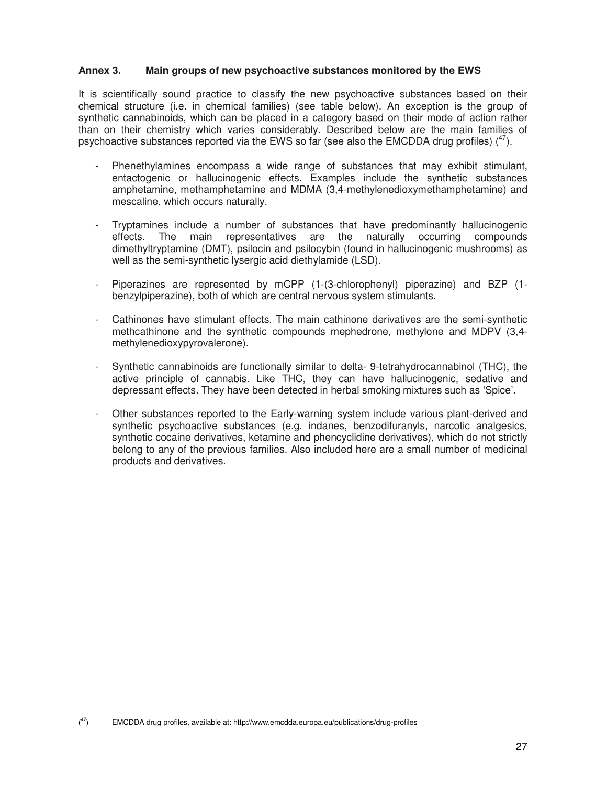#### **Annex 3. Main groups of new psychoactive substances monitored by the EWS**

It is scientifically sound practice to classify the new psychoactive substances based on their chemical structure (i.e. in chemical families) (see table below). An exception is the group of synthetic cannabinoids, which can be placed in a category based on their mode of action rather than on their chemistry which varies considerably. Described below are the main families of psychoactive substances reported via the EWS so far (see also the EMCDDA drug profiles)  $(^{47})$ .

- Phenethylamines encompass a wide range of substances that may exhibit stimulant, entactogenic or hallucinogenic effects. Examples include the synthetic substances amphetamine, methamphetamine and MDMA (3,4-methylenedioxymethamphetamine) and mescaline, which occurs naturally.
- Tryptamines include a number of substances that have predominantly hallucinogenic effects. The main representatives are the naturally occurring compounds effects. The main representatives are the naturally occurring compounds dimethyltryptamine (DMT), psilocin and psilocybin (found in hallucinogenic mushrooms) as well as the semi-synthetic lysergic acid diethylamide (LSD).
- Piperazines are represented by mCPP (1-(3-chlorophenyl) piperazine) and BZP (1 benzylpiperazine), both of which are central nervous system stimulants.
- Cathinones have stimulant effects. The main cathinone derivatives are the semi-synthetic methcathinone and the synthetic compounds mephedrone, methylone and MDPV (3,4 methylenedioxypyrovalerone).
- Synthetic cannabinoids are functionally similar to delta- 9-tetrahydrocannabinol (THC), the active principle of cannabis. Like THC, they can have hallucinogenic, sedative and depressant effects. They have been detected in herbal smoking mixtures such as 'Spice'.
- Other substances reported to the Early-warning system include various plant-derived and synthetic psychoactive substances (e.g. indanes, benzodifuranyls, narcotic analgesics, synthetic cocaine derivatives, ketamine and phencyclidine derivatives), which do not strictly belong to any of the previous families. Also included here are a small number of medicinal products and derivatives.

 $(47)$ <sup>47</sup>) EMCDDA drug profiles, available at: http://www.emcdda.europa.eu/publications/drug-profiles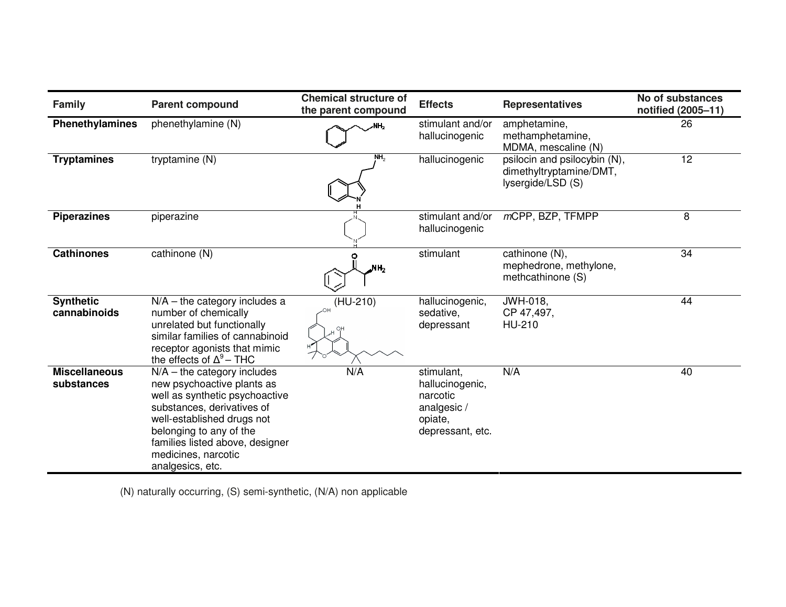| <b>Family</b>                      | <b>Parent compound</b>                                                                                                                                                                                                                                             | <b>Chemical structure of</b><br>the parent compound | <b>Effects</b>                                                                         | <b>Representatives</b>                                                       | No of substances<br>notified (2005-11) |
|------------------------------------|--------------------------------------------------------------------------------------------------------------------------------------------------------------------------------------------------------------------------------------------------------------------|-----------------------------------------------------|----------------------------------------------------------------------------------------|------------------------------------------------------------------------------|----------------------------------------|
| <b>Phenethylamines</b>             | phenethylamine (N)                                                                                                                                                                                                                                                 | ۷H,                                                 | stimulant and/or<br>hallucinogenic                                                     | amphetamine,<br>methamphetamine,<br>MDMA, mescaline (N)                      | 26                                     |
| <b>Tryptamines</b>                 | tryptamine (N)                                                                                                                                                                                                                                                     | NH <sub>2</sub>                                     | hallucinogenic                                                                         | psilocin and psilocybin (N),<br>dimethyltryptamine/DMT,<br>lysergide/LSD (S) | 12                                     |
| <b>Piperazines</b>                 | piperazine                                                                                                                                                                                                                                                         |                                                     | stimulant and/or<br>hallucinogenic                                                     | mCPP, BZP, TFMPP                                                             | 8                                      |
| <b>Cathinones</b>                  | cathinone (N)                                                                                                                                                                                                                                                      | MH <sub>2</sub>                                     | stimulant                                                                              | cathinone (N),<br>mephedrone, methylone,<br>methcathinone (S)                | 34                                     |
| <b>Synthetic</b><br>cannabinoids   | $N/A$ – the category includes a<br>number of chemically<br>unrelated but functionally<br>similar families of cannabinoid<br>receptor agonists that mimic<br>the effects of $\Delta^9$ – THC                                                                        | (HU-210)                                            | hallucinogenic,<br>sedative,<br>depressant                                             | JWH-018,<br>CP 47,497,<br>HU-210                                             | 44                                     |
| <b>Miscellaneous</b><br>substances | $N/A$ – the category includes<br>new psychoactive plants as<br>well as synthetic psychoactive<br>substances, derivatives of<br>well-established drugs not<br>belonging to any of the<br>families listed above, designer<br>medicines, narcotic<br>analgesics, etc. | N/A                                                 | stimulant,<br>hallucinogenic,<br>narcotic<br>analgesic/<br>opiate,<br>depressant, etc. | N/A                                                                          | 40                                     |

(N) naturally occurring, (S) semi-synthetic, (N/A) non applicable